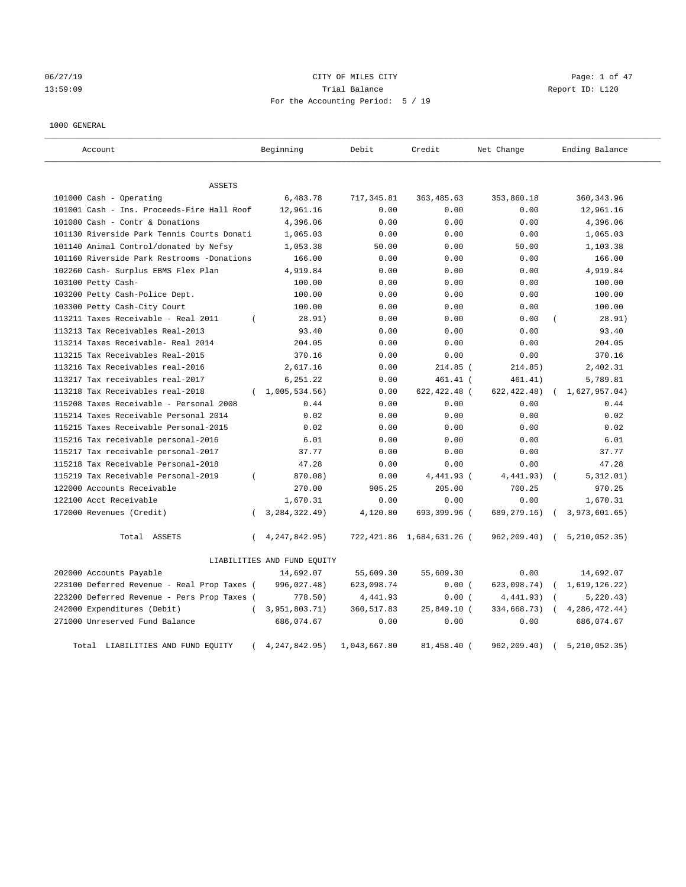# 06/27/19 Page: 1 of 47 13:59:09 Trial Balance Report ID: L120 For the Accounting Period: 5 / 19

## 1000 GENERAL

| Account                                     |                | Beginning                   | Debit        | Credit                    | Net Change    | Ending Balance   |
|---------------------------------------------|----------------|-----------------------------|--------------|---------------------------|---------------|------------------|
| <b>ASSETS</b>                               |                |                             |              |                           |               |                  |
| 101000 Cash - Operating                     |                | 6,483.78                    | 717, 345.81  | 363, 485.63               | 353,860.18    | 360, 343.96      |
| 101001 Cash - Ins. Proceeds-Fire Hall Roof  |                | 12,961.16                   | 0.00         | 0.00                      | 0.00          | 12,961.16        |
| 101080 Cash - Contr & Donations             |                | 4,396.06                    | 0.00         | 0.00                      | 0.00          | 4,396.06         |
| 101130 Riverside Park Tennis Courts Donati  |                | 1,065.03                    | 0.00         | 0.00                      | 0.00          | 1,065.03         |
| 101140 Animal Control/donated by Nefsy      |                | 1,053.38                    | 50.00        | 0.00                      | 50.00         | 1,103.38         |
| 101160 Riverside Park Restrooms -Donations  |                | 166.00                      | 0.00         | 0.00                      | 0.00          | 166.00           |
| 102260 Cash- Surplus EBMS Flex Plan         |                | 4,919.84                    | 0.00         | 0.00                      | 0.00          | 4,919.84         |
| 103100 Petty Cash-                          |                | 100.00                      | 0.00         | 0.00                      | 0.00          | 100.00           |
| 103200 Petty Cash-Police Dept.              |                | 100.00                      | 0.00         | 0.00                      | 0.00          | 100.00           |
| 103300 Petty Cash-City Court                |                | 100.00                      | 0.00         | 0.00                      | 0.00          | 100.00           |
| 113211 Taxes Receivable - Real 2011         | $\left($       | 28.91)                      | 0.00         | 0.00                      | 0.00          | 28.91)           |
| 113213 Tax Receivables Real-2013            |                | 93.40                       | 0.00         | 0.00                      | 0.00          | 93.40            |
| 113214 Taxes Receivable- Real 2014          |                | 204.05                      | 0.00         | 0.00                      | 0.00          | 204.05           |
| 113215 Tax Receivables Real-2015            |                | 370.16                      | 0.00         | 0.00                      | 0.00          | 370.16           |
| 113216 Tax Receivables real-2016            |                | 2,617.16                    | 0.00         | 214.85 (                  | 214.85)       | 2,402.31         |
| 113217 Tax receivables real-2017            |                | 6,251.22                    | 0.00         | $461.41$ (                | 461.41)       | 5,789.81         |
| 113218 Tax Receivables real-2018            |                | 1,005,534.56                | 0.00         | 622,422.48 (              | 622, 422.48)  | $1,627,957.04$ ) |
| 115208 Taxes Receivable - Personal 2008     |                | 0.44                        | 0.00         | 0.00                      | 0.00          | 0.44             |
| 115214 Taxes Receivable Personal 2014       |                | 0.02                        | 0.00         | 0.00                      | 0.00          | 0.02             |
| 115215 Taxes Receivable Personal-2015       |                | 0.02                        | 0.00         | 0.00                      | 0.00          | 0.02             |
| 115216 Tax receivable personal-2016         |                | 6.01                        | 0.00         | 0.00                      | 0.00          | 6.01             |
| 115217 Tax receivable personal-2017         |                | 37.77                       | 0.00         | 0.00                      | 0.00          | 37.77            |
| 115218 Tax Receivable Personal-2018         |                | 47.28                       | 0.00         | 0.00                      | 0.00          | 47.28            |
| 115219 Tax Receivable Personal-2019         | $\overline{(}$ | 870.08)                     | 0.00         | 4,441.93 (                | 4,441.93)     | 5,312.01)        |
| 122000 Accounts Receivable                  |                | 270.00                      | 905.25       | 205.00                    | 700.25        | 970.25           |
| 122100 Acct Receivable                      |                | 1,670.31                    | 0.00         | 0.00                      | 0.00          | 1,670.31         |
| 172000 Revenues (Credit)                    | $\left($       | 3, 284, 322. 49)            | 4,120.80     | 693,399.96 (              | 689, 279. 16) | 3,973,601.65)    |
| Total ASSETS                                | $\left($       | 4, 247, 842, 95)            |              | 722,421.86 1,684,631.26 ( | 962, 209.40)  | 5, 210, 052, 35) |
|                                             |                | LIABILITIES AND FUND EQUITY |              |                           |               |                  |
| 202000 Accounts Payable                     |                | 14,692.07                   | 55,609.30    | 55,609.30                 | 0.00          | 14,692.07        |
| 223100 Deferred Revenue - Real Prop Taxes ( |                | 996,027.48)                 | 623,098.74   | 0.00(                     | 623,098.74)   | 1,619,126.22)    |
| 223200 Deferred Revenue - Pers Prop Taxes ( |                | 778.50)                     | 4,441.93     | 0.00(                     | 4,441.93)     | 5, 220.43)       |
| 242000 Expenditures (Debit)                 | $\left($       | 3,951,803.71)               | 360, 517.83  | 25,849.10 (               | 334,668.73)   | 4, 286, 472.44)  |
| 271000 Unreserved Fund Balance              |                | 686,074.67                  | 0.00         | 0.00                      | 0.00          | 686,074.67       |
| Total LIABILITIES AND FUND EQUITY           |                | 4, 247, 842. 95)            | 1,043,667.80 | 81,458.40 (               | 962, 209.40)  | 5, 210, 052, 35) |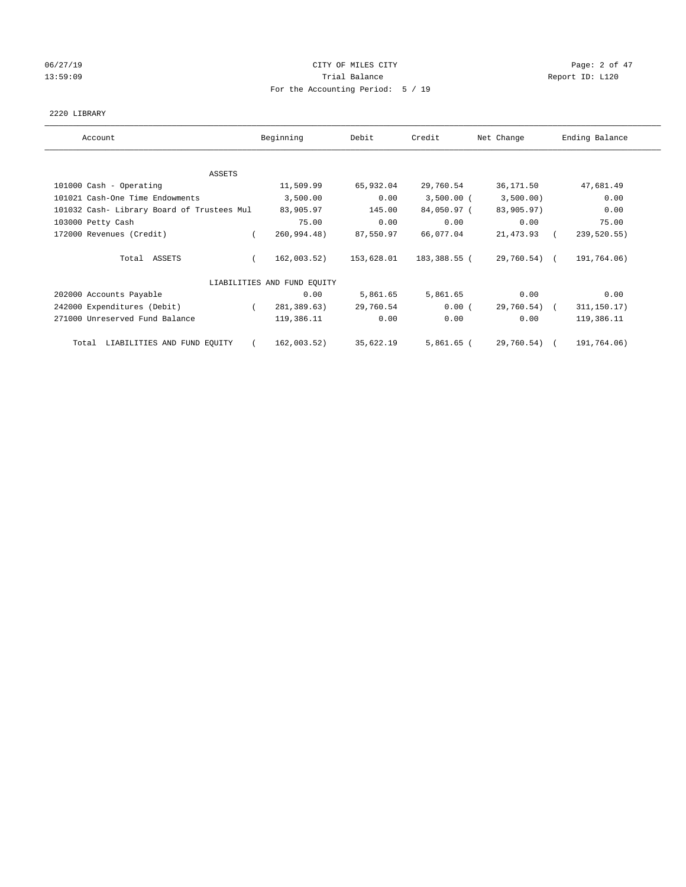## 06/27/19 Page: 2 of 47 13:59:09 Report ID: L120 For the Accounting Period: 5 / 19

## 2220 LIBRARY

| Account                                    | Beginning                   | Debit      | Credit       | Net Change   | Ending Balance |
|--------------------------------------------|-----------------------------|------------|--------------|--------------|----------------|
|                                            |                             |            |              |              |                |
| ASSETS                                     |                             |            |              |              |                |
| 101000 Cash - Operating                    | 11,509.99                   | 65,932.04  | 29,760.54    | 36,171.50    | 47,681.49      |
| 101021 Cash-One Time Endowments            | 3,500.00                    | 0.00       | $3,500.00$ ( | 3,500.00)    | 0.00           |
| 101032 Cash- Library Board of Trustees Mul | 83,905.97                   | 145.00     | 84,050.97 (  | 83,905.97)   | 0.00           |
| 103000 Petty Cash                          | 75.00                       | 0.00       | 0.00         | 0.00         | 75.00          |
| 172000 Revenues (Credit)                   | 260,994.48)                 | 87,550.97  | 66,077.04    | 21,473.93    | 239,520.55)    |
| Total ASSETS                               | 162,003.52)                 | 153,628.01 | 183,388.55 ( | 29,760.54) ( | 191,764.06)    |
|                                            | LIABILITIES AND FUND EQUITY |            |              |              |                |
| 202000 Accounts Payable                    | 0.00                        | 5,861.65   | 5,861.65     | 0.00         | 0.00           |
| 242000 Expenditures (Debit)                | 281,389.63)                 | 29,760.54  | 0.00(        | 29,760.54)   | 311, 150.17)   |
| 271000 Unreserved Fund Balance             | 119,386.11                  | 0.00       | 0.00         | 0.00         | 119,386.11     |
| LIABILITIES AND FUND EQUITY<br>Total       | 162,003.52)                 | 35,622.19  | $5,861.65$ ( | 29,760.54)   | 191,764.06)    |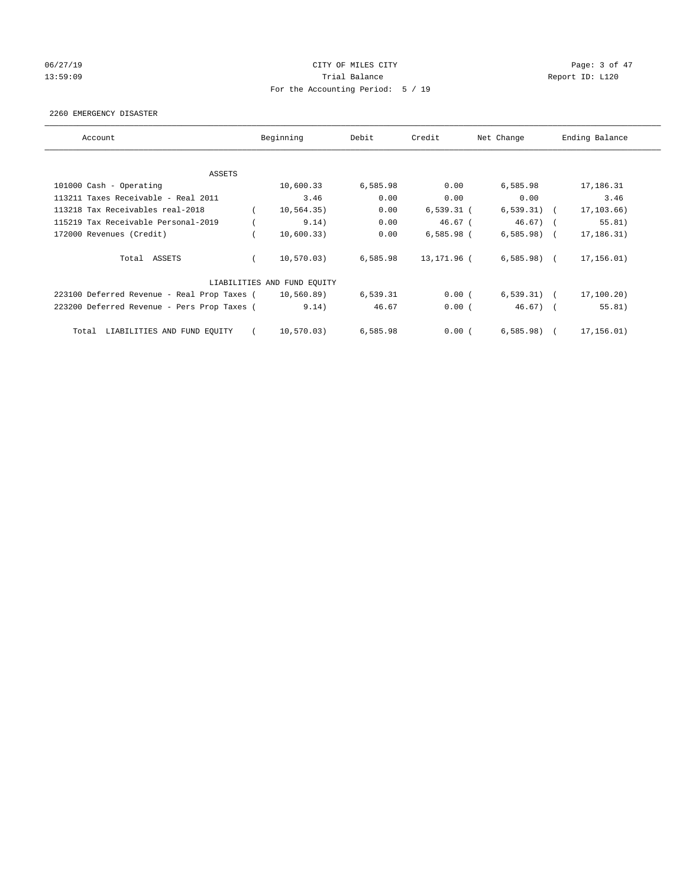## 06/27/19 Page: 3 of 47 13:59:09 Report ID: L120 For the Accounting Period: 5 / 19

## 2260 EMERGENCY DISASTER

| Account                                     | Beginning                   | Debit    | Credit       | Net Change   | Ending Balance |
|---------------------------------------------|-----------------------------|----------|--------------|--------------|----------------|
| ASSETS                                      |                             |          |              |              |                |
| 101000 Cash - Operating                     | 10,600.33                   | 6,585.98 | 0.00         | 6,585.98     | 17,186.31      |
| 113211 Taxes Receivable - Real 2011         | 3.46                        | 0.00     | 0.00         | 0.00         | 3.46           |
| 113218 Tax Receivables real-2018            | 10, 564.35)                 | 0.00     | $6,539.31$ ( | $6,539.31$ ( | 17,103.66)     |
| 115219 Tax Receivable Personal-2019         | 9.14)                       | 0.00     | $46.67$ (    | $46.67$ ) (  | 55.81)         |
| 172000 Revenues (Credit)                    | 10,600.33)                  | 0.00     | $6,585.98$ ( | $6,585.98$ ( | 17,186.31)     |
| Total ASSETS                                | 10, 570.03)                 | 6,585.98 | 13,171.96 (  | $6,585.98$ ( | 17,156.01)     |
|                                             | LIABILITIES AND FUND EQUITY |          |              |              |                |
| 223100 Deferred Revenue - Real Prop Taxes ( | 10,560.89)                  | 6,539.31 | 0.00(        | $6,539.31$ ( | 17,100.20)     |
| 223200 Deferred Revenue - Pers Prop Taxes ( | 9.14)                       | 46.67    | 0.00(        | $46.67$ ) (  | 55.81)         |
| LIABILITIES AND FUND EQUITY<br>Total        | 10,570.03)                  | 6,585.98 | 0.00(        | $6,585.98$ ( | 17,156.01)     |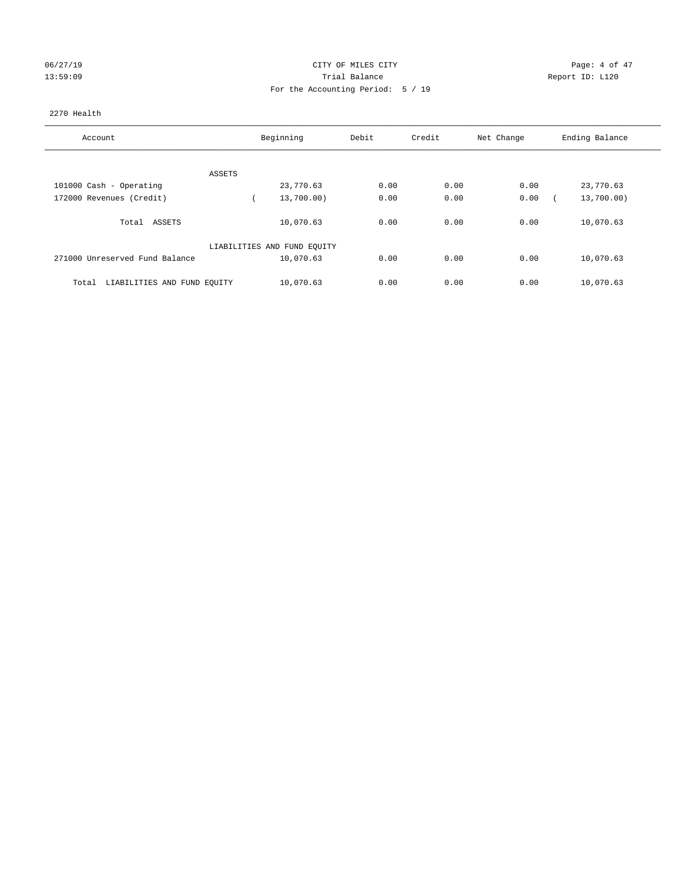## 06/27/19 CITY OF MILES CITY Page: 4 of 47 13:59:09 Report ID: L120 For the Accounting Period: 5 / 19

## 2270 Health

| Account                              | Beginning                   | Debit | Credit | Net Change | Ending Balance |  |
|--------------------------------------|-----------------------------|-------|--------|------------|----------------|--|
|                                      |                             |       |        |            |                |  |
| ASSETS                               |                             |       |        |            |                |  |
| 101000 Cash - Operating              | 23,770.63                   | 0.00  | 0.00   | 0.00       | 23,770.63      |  |
| 172000 Revenues (Credit)             | 13,700.00)                  | 0.00  | 0.00   | 0.00       | 13,700.00)     |  |
| ASSETS<br>Total                      | 10,070.63                   | 0.00  | 0.00   | 0.00       | 10,070.63      |  |
|                                      | LIABILITIES AND FUND EQUITY |       |        |            |                |  |
| 271000 Unreserved Fund Balance       | 10,070.63                   | 0.00  | 0.00   | 0.00       | 10,070.63      |  |
| LIABILITIES AND FUND EQUITY<br>Total | 10,070.63                   | 0.00  | 0.00   | 0.00       | 10,070.63      |  |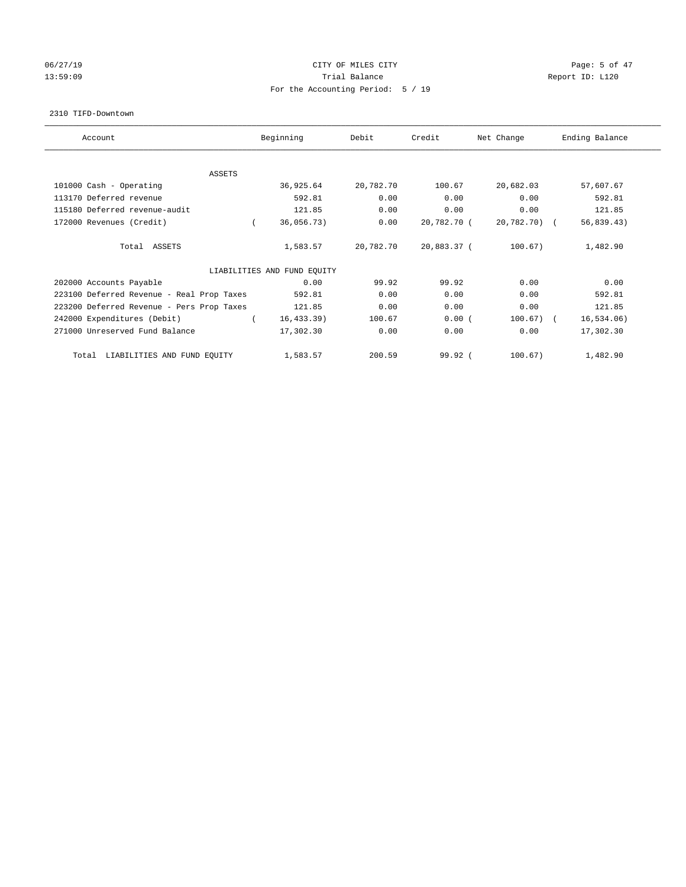## 06/27/19 Page: 5 of 47 13:59:09 Report ID: L120 For the Accounting Period: 5 / 19

#### 2310 TIFD-Downtown

| Account                                   | Beginning                   | Debit     | Credit      | Net Change   | Ending Balance |
|-------------------------------------------|-----------------------------|-----------|-------------|--------------|----------------|
| <b>ASSETS</b>                             |                             |           |             |              |                |
| 101000 Cash - Operating                   | 36,925.64                   | 20,782.70 | 100.67      | 20,682.03    | 57,607.67      |
| 113170 Deferred revenue                   | 592.81                      | 0.00      | 0.00        | 0.00         | 592.81         |
| 115180 Deferred revenue-audit             | 121.85                      | 0.00      | 0.00        | 0.00         | 121.85         |
| 172000 Revenues (Credit)                  | 36,056.73)                  | 0.00      | 20,782.70 ( | 20,782.70) ( | 56, 839.43)    |
| Total ASSETS                              | 1,583.57                    | 20,782.70 | 20,883.37 ( | 100.67)      | 1,482.90       |
|                                           | LIABILITIES AND FUND EQUITY |           |             |              |                |
| 202000 Accounts Payable                   | 0.00                        | 99.92     | 99.92       | 0.00         | 0.00           |
| 223100 Deferred Revenue - Real Prop Taxes | 592.81                      | 0.00      | 0.00        | 0.00         | 592.81         |
| 223200 Deferred Revenue - Pers Prop Taxes | 121.85                      | 0.00      | 0.00        | 0.00         | 121.85         |
| 242000 Expenditures (Debit)               | 16, 433.39)                 | 100.67    | 0.00(       | $100.67)$ (  | 16, 534.06)    |
| 271000 Unreserved Fund Balance            | 17,302.30                   | 0.00      | 0.00        | 0.00         | 17,302.30      |
| LIABILITIES AND FUND EQUITY<br>Total      | 1,583.57                    | 200.59    | 99.92(      | 100.67)      | 1,482.90       |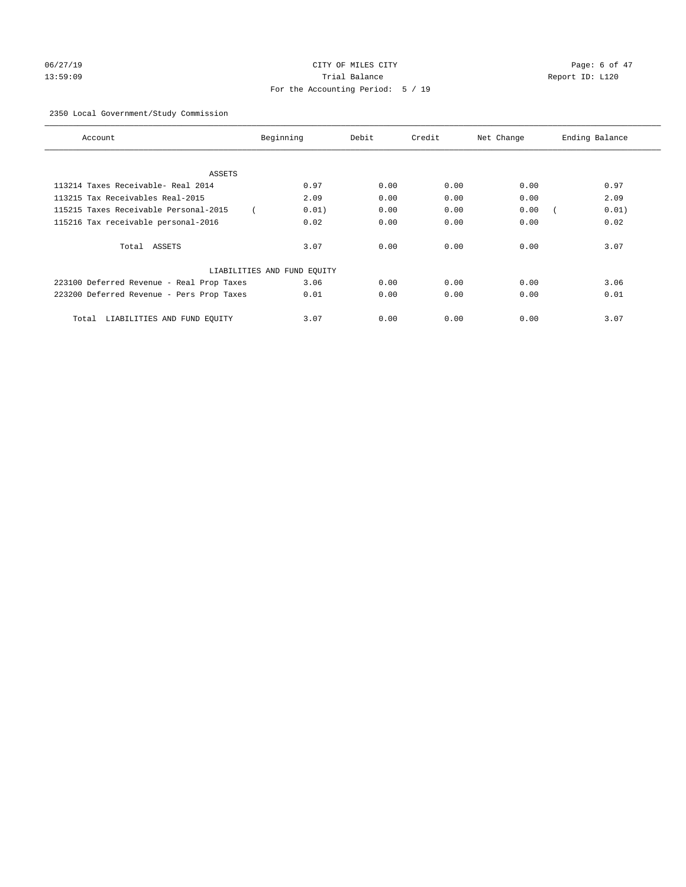# 06/27/19 Page: 6 of 47 13:59:09 Trial Balance Report ID: L120 For the Accounting Period: 5 / 19

## 2350 Local Government/Study Commission

| Account                                   | Beginning                   | Debit | Credit | Net Change | Ending Balance |
|-------------------------------------------|-----------------------------|-------|--------|------------|----------------|
|                                           |                             |       |        |            |                |
| ASSETS                                    |                             |       |        |            |                |
| 113214 Taxes Receivable- Real 2014        | 0.97                        | 0.00  | 0.00   | 0.00       | 0.97           |
| 113215 Tax Receivables Real-2015          | 2.09                        | 0.00  | 0.00   | 0.00       | 2.09           |
| 115215 Taxes Receivable Personal-2015     | 0.01)                       | 0.00  | 0.00   | 0.00       | 0.01)          |
| 115216 Tax receivable personal-2016       | 0.02                        | 0.00  | 0.00   | 0.00       | 0.02           |
| Total ASSETS                              | 3.07                        | 0.00  | 0.00   | 0.00       | 3.07           |
|                                           | LIABILITIES AND FUND EQUITY |       |        |            |                |
| 223100 Deferred Revenue - Real Prop Taxes | 3.06                        | 0.00  | 0.00   | 0.00       | 3.06           |
| 223200 Deferred Revenue - Pers Prop Taxes | 0.01                        | 0.00  | 0.00   | 0.00       | 0.01           |
| LIABILITIES AND FUND EQUITY<br>Total      | 3.07                        | 0.00  | 0.00   | 0.00       | 3.07           |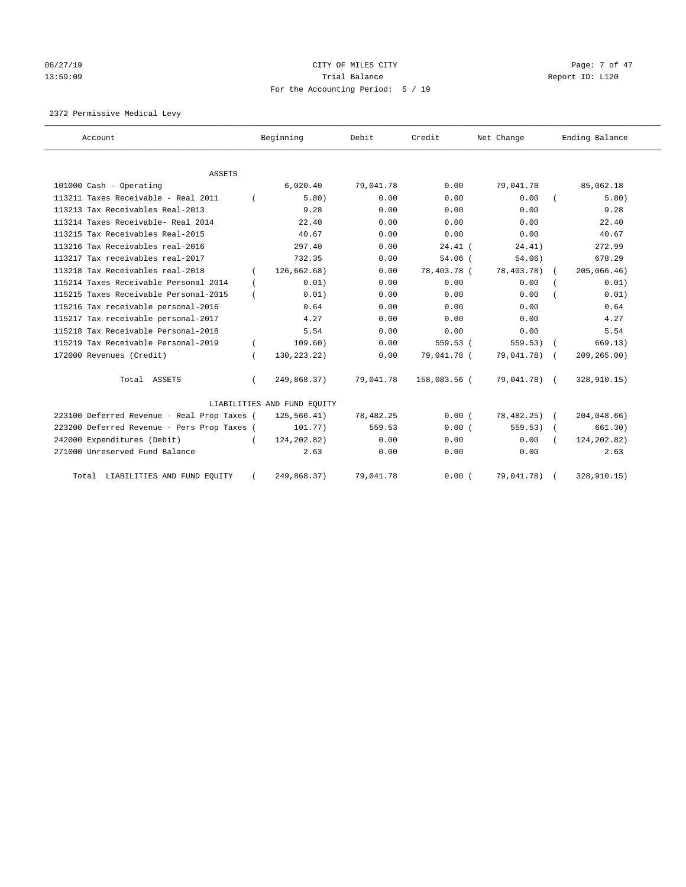# 06/27/19 CITY OF MILES CITY CHANNEL CITY CONTROL Page: 7 of 47 13:59:09 Report ID: L120 For the Accounting Period: 5 / 19

2372 Permissive Medical Levy

| Account                                     |          | Beginning                   | Debit     | Credit       | Net Change    | Ending Balance |
|---------------------------------------------|----------|-----------------------------|-----------|--------------|---------------|----------------|
| <b>ASSETS</b>                               |          |                             |           |              |               |                |
| 101000 Cash - Operating                     |          | 6,020.40                    | 79,041.78 | 0.00         | 79,041.78     | 85,062.18      |
| 113211 Taxes Receivable - Real 2011         |          | 5.80)                       | 0.00      | 0.00         | 0.00          | 5.80)          |
| 113213 Tax Receivables Real-2013            |          | 9.28                        | 0.00      | 0.00         | 0.00          | 9.28           |
| 113214 Taxes Receivable- Real 2014          |          | 22.40                       | 0.00      | 0.00         | 0.00          | 22.40          |
| 113215 Tax Receivables Real-2015            |          | 40.67                       | 0.00      | 0.00         | 0.00          | 40.67          |
| 113216 Tax Receivables real-2016            |          | 297.40                      | 0.00      | $24.41$ (    | 24.41)        | 272.99         |
| 113217 Tax receivables real-2017            |          | 732.35                      | 0.00      | $54.06$ (    | 54.06)        | 678.29         |
| 113218 Tax Receivables real-2018            | $\left($ | 126,662.68)                 | 0.00      | 78,403.78 (  | 78,403.78)    | 205,066.46)    |
| 115214 Taxes Receivable Personal 2014       | $\left($ | 0.01)                       | 0.00      | 0.00         | 0.00          | 0.01)          |
| 115215 Taxes Receivable Personal-2015       |          | 0.01)                       | 0.00      | 0.00         | 0.00          | 0.01)          |
| 115216 Tax receivable personal-2016         |          | 0.64                        | 0.00      | 0.00         | 0.00          | 0.64           |
| 115217 Tax receivable personal-2017         |          | 4.27                        | 0.00      | 0.00         | 0.00          | 4.27           |
| 115218 Tax Receivable Personal-2018         |          | 5.54                        | 0.00      | 0.00         | 0.00          | 5.54           |
| 115219 Tax Receivable Personal-2019         |          | 109.60)                     | 0.00      | 559.53 (     | 559.53)       | 669.13)        |
| 172000 Revenues (Credit)                    |          | 130, 223. 22)               | 0.00      | 79,041.78 (  | 79,041.78)    | 209, 265.00    |
| Total ASSETS                                |          | 249,868.37)                 | 79,041.78 | 158,083.56 ( | 79,041.78) (  | 328,910.15)    |
|                                             |          | LIABILITIES AND FUND EQUITY |           |              |               |                |
| 223100 Deferred Revenue - Real Prop Taxes ( |          | 125,566.41)                 | 78,482.25 | 0.00(        | $78,482.25$ ( | 204,048.66)    |
| 223200 Deferred Revenue - Pers Prop Taxes ( |          | 101.77)                     | 559.53    | 0.00(        | 559.53)       | 661.30)        |
| 242000 Expenditures (Debit)                 |          | 124, 202.82)                | 0.00      | 0.00         | 0.00          | 124, 202.82)   |
| 271000 Unreserved Fund Balance              |          | 2.63                        | 0.00      | 0.00         | 0.00          | 2.63           |
| Total LIABILITIES AND FUND EQUITY           |          | 249,868.37)                 | 79,041.78 | 0.00(        | 79,041.78)    | 328,910.15)    |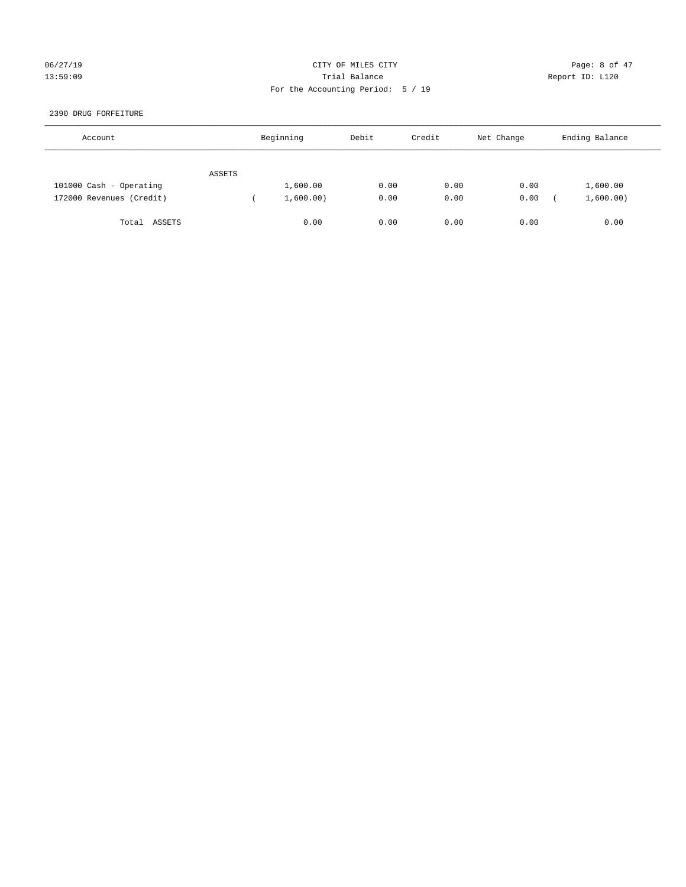## 06/27/19 CITY OF MILES CITY Page: 8 of 47 13:59:09 Trial Balance Report ID: L120 For the Accounting Period: 5 / 19

## 2390 DRUG FORFEITURE

| Account                  |        | Beginning | Debit | Credit | Net Change | Ending Balance |
|--------------------------|--------|-----------|-------|--------|------------|----------------|
|                          | ASSETS |           |       |        |            |                |
| 101000 Cash - Operating  |        | 1,600.00  | 0.00  | 0.00   | 0.00       | 1,600.00       |
| 172000 Revenues (Credit) |        | 1,600.00) | 0.00  | 0.00   | 0.00       | 1,600.00)      |
| ASSETS<br>Total          |        | 0.00      | 0.00  | 0.00   | 0.00       | 0.00           |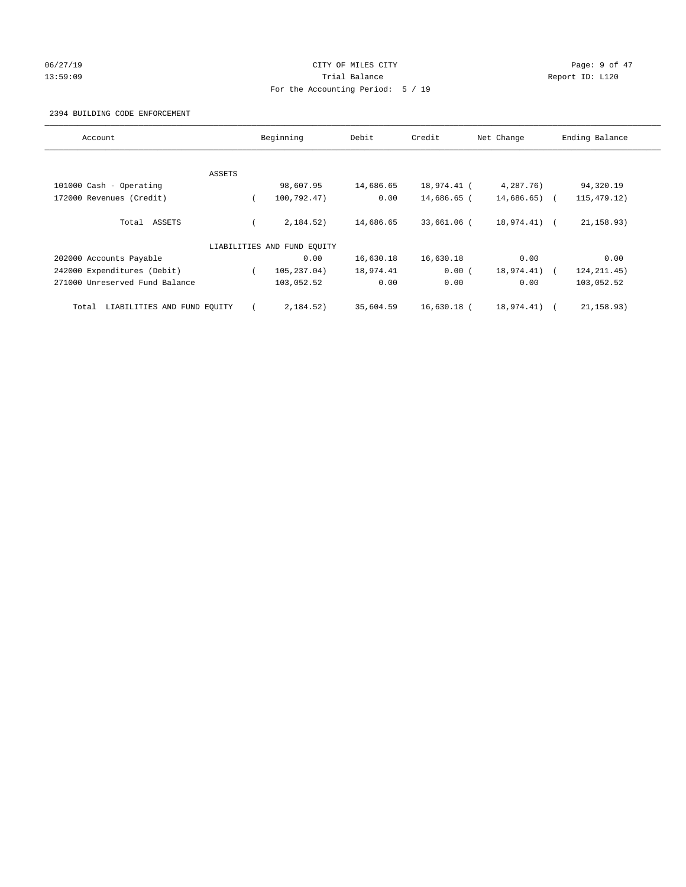## 06/27/19 Page: 9 of 47 13:59:09 Report ID: L120 For the Accounting Period: 5 / 19

## 2394 BUILDING CODE ENFORCEMENT

| Account                              |        | Beginning                   | Debit     | Credit        | Net Change      | Ending Balance |
|--------------------------------------|--------|-----------------------------|-----------|---------------|-----------------|----------------|
|                                      |        |                             |           |               |                 |                |
|                                      | ASSETS |                             |           |               |                 |                |
| 101000 Cash - Operating              |        | 98,607.95                   | 14,686.65 | 18,974.41 (   | 4,287.76)       | 94,320.19      |
| 172000 Revenues (Credit)             |        | 100,792.47)                 | 0.00      | 14,686.65 (   | $14,686.65$ ) ( | 115, 479. 12)  |
| Total ASSETS                         |        | 2,184.52)                   | 14,686.65 | 33,661.06 (   | $18,974.41$ (   | 21, 158.93)    |
|                                      |        | LIABILITIES AND FUND EQUITY |           |               |                 |                |
| 202000 Accounts Payable              |        | 0.00                        | 16,630.18 | 16,630.18     | 0.00            | 0.00           |
| 242000 Expenditures (Debit)          |        | 105,237.04)                 | 18,974.41 | 0.00(         | 18,974.41)      | 124, 211.45)   |
| 271000 Unreserved Fund Balance       |        | 103,052.52                  | 0.00      | 0.00          | 0.00            | 103,052.52     |
| LIABILITIES AND FUND EQUITY<br>Total |        | 2,184.52)                   | 35,604.59 | $16,630.18$ ( | 18,974.41)      | 21, 158.93)    |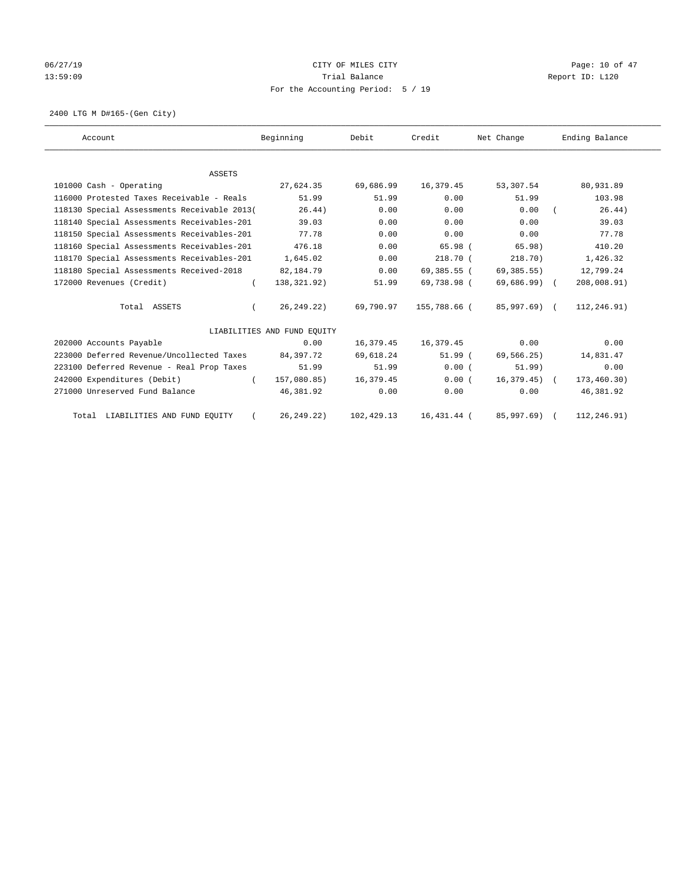# 06/27/19 Page: 10 of 47 13:59:09 Report ID: L120 For the Accounting Period: 5 / 19

2400 LTG M D#165-(Gen City)

| Account                                     | Beginning                   | Debit       | Credit       | Net Change    | Ending Balance |
|---------------------------------------------|-----------------------------|-------------|--------------|---------------|----------------|
|                                             |                             |             |              |               |                |
| <b>ASSETS</b>                               |                             |             |              |               |                |
| 101000 Cash - Operating                     | 27,624.35                   | 69,686.99   | 16,379.45    | 53,307.54     | 80,931.89      |
| 116000 Protested Taxes Receivable - Reals   | 51.99                       | 51.99       | 0.00         | 51.99         | 103.98         |
| 118130 Special Assessments Receivable 2013( | 26.44)                      | 0.00        | 0.00         | 0.00          | 26.44)         |
| 118140 Special Assessments Receivables-201  | 39.03                       | 0.00        | 0.00         | 0.00          | 39.03          |
| 118150 Special Assessments Receivables-201  | 77.78                       | 0.00        | 0.00         | 0.00          | 77.78          |
| 118160 Special Assessments Receivables-201  | 476.18                      | 0.00        | 65.98 (      | 65.98)        | 410.20         |
| 118170 Special Assessments Receivables-201  | 1,645.02                    | 0.00        | $218.70$ (   | 218.70)       | 1,426.32       |
| 118180 Special Assessments Received-2018    | 82,184.79                   | 0.00        | 69,385.55 (  | 69,385.55)    | 12,799.24      |
| 172000 Revenues (Credit)                    | 138,321.92)<br>$\left($     | 51.99       | 69,738.98 (  | $69,686.99$ ( | 208,008.91)    |
| Total ASSETS                                | 26, 249. 22)                | 69,790.97   | 155,788.66 ( | 85,997.69) (  | 112,246.91)    |
|                                             | LIABILITIES AND FUND EQUITY |             |              |               |                |
| 202000 Accounts Payable                     | 0.00                        | 16,379.45   | 16,379.45    | 0.00          | 0.00           |
| 223000 Deferred Revenue/Uncollected Taxes   | 84,397.72                   | 69,618.24   | 51.99(       | 69,566.25)    | 14,831.47      |
| 223100 Deferred Revenue - Real Prop Taxes   | 51.99                       | 51.99       | 0.00(        | 51.99)        | 0.00           |
| 242000 Expenditures (Debit)                 | 157,080.85)<br>$\left($     | 16,379.45   | 0.00(        | $16,379.45$ ( | 173,460.30)    |
| 271000 Unreserved Fund Balance              | 46,381.92                   | 0.00        | 0.00         | 0.00          | 46,381.92      |
| Total LIABILITIES AND FUND EQUITY           | 26, 249.22)                 | 102, 429.13 | 16,431.44 (  | 85,997.69)    | 112,246.91)    |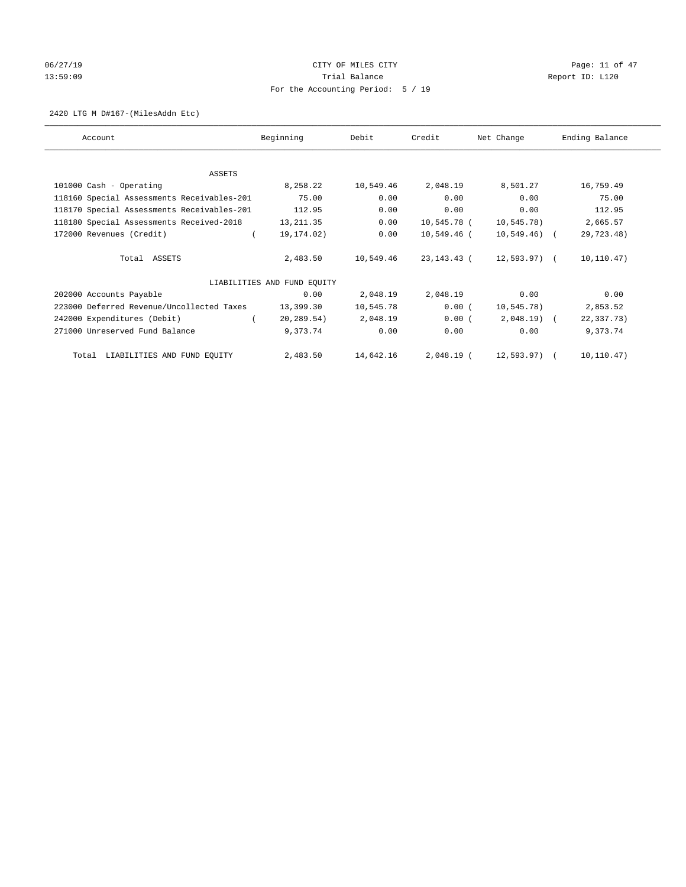# 06/27/19 Page: 11 of 47 13:59:09 Report ID: L120 For the Accounting Period: 5 / 19

## 2420 LTG M D#167-(MilesAddn Etc)

| Account                                    | Beginning                   | Debit     | Credit        | Net Change    | Ending Balance |
|--------------------------------------------|-----------------------------|-----------|---------------|---------------|----------------|
|                                            |                             |           |               |               |                |
| <b>ASSETS</b>                              |                             |           |               |               |                |
| 101000 Cash - Operating                    | 8,258.22                    | 10,549.46 | 2,048.19      | 8,501.27      | 16,759.49      |
| 118160 Special Assessments Receivables-201 | 75.00                       | 0.00      | 0.00          | 0.00          | 75.00          |
| 118170 Special Assessments Receivables-201 | 112.95                      | 0.00      | 0.00          | 0.00          | 112.95         |
| 118180 Special Assessments Received-2018   | 13, 211.35                  | 0.00      | 10,545.78 (   | 10,545.78)    | 2,665.57       |
| 172000 Revenues (Credit)                   | 19,174.02)                  | 0.00      | $10,549.46$ ( | $10,549.46$ ( | 29,723.48)     |
| Total ASSETS                               | 2,483.50                    | 10,549.46 | 23,143.43 (   | 12,593.97) (  | 10, 110.47)    |
|                                            | LIABILITIES AND FUND EQUITY |           |               |               |                |
| 202000 Accounts Payable                    | 0.00                        | 2,048.19  | 2,048.19      | 0.00          | 0.00           |
| 223000 Deferred Revenue/Uncollected Taxes  | 13,399.30                   | 10,545.78 | 0.00(         | 10,545.78)    | 2,853.52       |
| 242000 Expenditures (Debit)                | 20,289.54)                  | 2,048.19  | 0.00(         | $2,048.19$ (  | 22,337.73)     |
| 271000 Unreserved Fund Balance             | 9,373.74                    | 0.00      | 0.00          | 0.00          | 9,373.74       |
| Total LIABILITIES AND FUND EQUITY          | 2,483.50                    | 14,642.16 | 2,048.19 (    | 12,593.97) (  | 10, 110.47)    |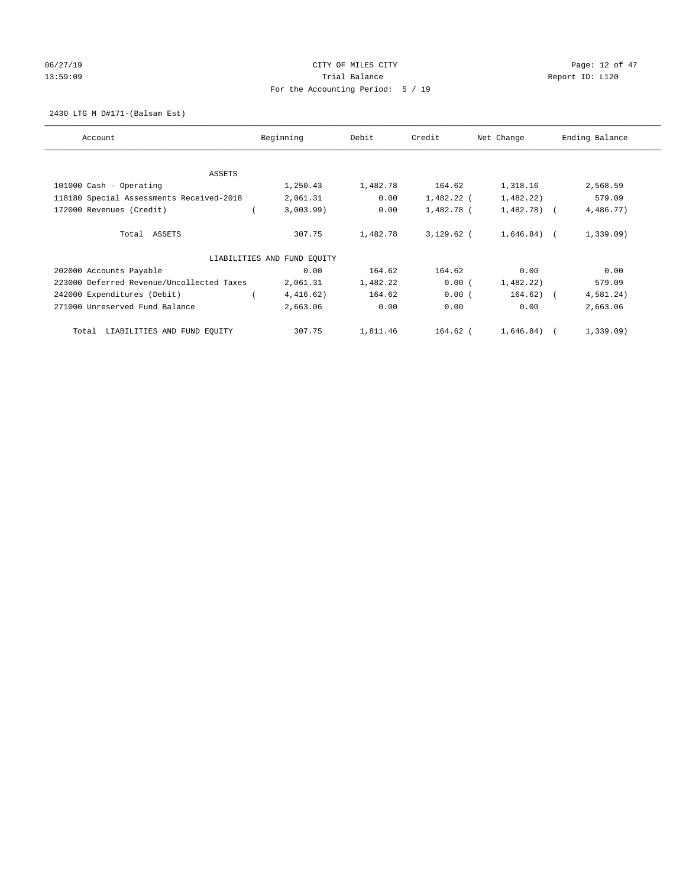# 06/27/19 Page: 12 of 47 13:59:09 Report ID: L120 For the Accounting Period: 5 / 19

## 2430 LTG M D#171-(Balsam Est)

| Account                                   | Beginning                   | Debit    | Credit       | Net Change     | Ending Balance |
|-------------------------------------------|-----------------------------|----------|--------------|----------------|----------------|
| ASSETS                                    |                             |          |              |                |                |
| 101000 Cash - Operating                   | 1,250.43                    | 1,482.78 | 164.62       | 1,318.16       | 2,568.59       |
| 118180 Special Assessments Received-2018  | 2,061.31                    | 0.00     | 1,482.22 (   | 1,482.22)      | 579.09         |
| 172000 Revenues (Credit)                  | 3,003.99)                   | 0.00     | 1,482.78 (   | $1,482.78$ (   | 4,486.77)      |
| Total ASSETS                              | 307.75                      | 1,482.78 | $3,129.62$ ( | $1,646.84$ ) ( | 1,339.09)      |
|                                           | LIABILITIES AND FUND EQUITY |          |              |                |                |
| 202000 Accounts Payable                   | 0.00                        | 164.62   | 164.62       | 0.00           | 0.00           |
| 223000 Deferred Revenue/Uncollected Taxes | 2,061.31                    | 1,482.22 | 0.00(        | 1,482.22)      | 579.09         |
| 242000 Expenditures (Debit)               | 4,416.62)                   | 164.62   | 0.00(        | 164.62) (      | 4,581.24)      |
| 271000 Unreserved Fund Balance            | 2,663.06                    | 0.00     | 0.00         | 0.00           | 2,663.06       |
| LIABILITIES AND FUND EQUITY<br>Total      | 307.75                      | 1,811.46 | 164.62 (     | $1,646.84$ ) ( | 1,339.09)      |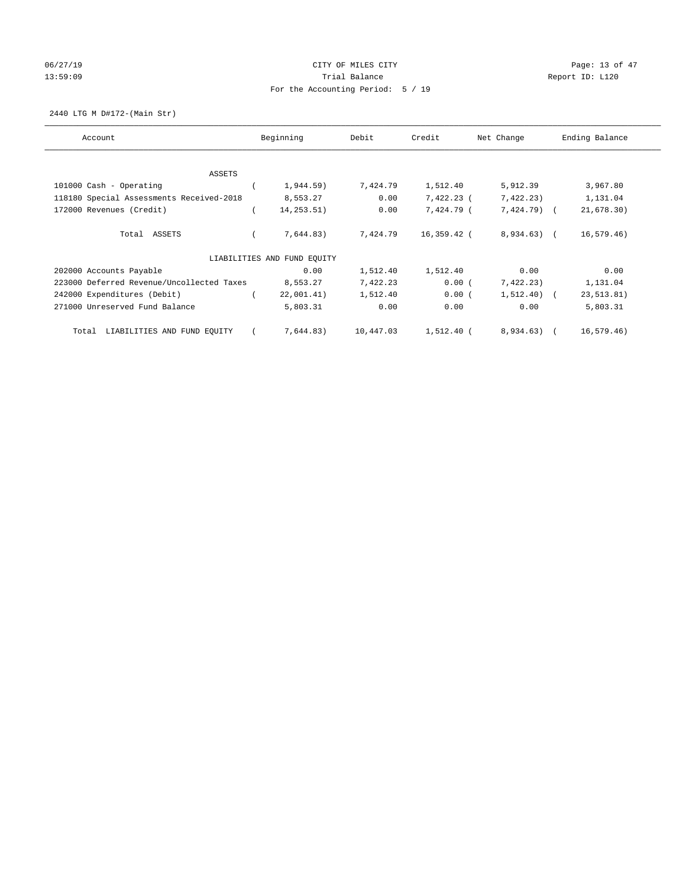# 06/27/19 Page: 13 of 47 13:59:09 Report ID: L120 For the Accounting Period: 5 / 19

2440 LTG M D#172-(Main Str)

| Account                                   | Beginning                   | Debit     | Credit       | Net Change   | Ending Balance |
|-------------------------------------------|-----------------------------|-----------|--------------|--------------|----------------|
| ASSETS                                    |                             |           |              |              |                |
| 101000 Cash - Operating                   | 1,944.59)                   | 7,424.79  | 1,512.40     | 5,912.39     | 3,967.80       |
| 118180 Special Assessments Received-2018  | 8,553.27                    | 0.00      | $7,422.23$ ( | 7,422.23)    | 1,131.04       |
| 172000 Revenues (Credit)                  | 14,253.51)                  | 0.00      | 7,424.79 (   | $7,424.79$ ( | 21,678.30)     |
| Total ASSETS                              | 7,644.83)                   | 7,424.79  | 16,359.42 (  | 8,934.63) (  | 16, 579.46)    |
|                                           | LIABILITIES AND FUND EQUITY |           |              |              |                |
| 202000 Accounts Payable                   | 0.00                        | 1,512.40  | 1,512.40     | 0.00         | 0.00           |
| 223000 Deferred Revenue/Uncollected Taxes | 8,553.27                    | 7,422.23  | 0.00(        | 7,422.23)    | 1,131.04       |
| 242000 Expenditures (Debit)               | 22,001.41)                  | 1,512.40  | 0.00(        | $1,512.40$ ( | 23, 513.81)    |
| 271000 Unreserved Fund Balance            | 5,803.31                    | 0.00      | 0.00         | 0.00         | 5,803.31       |
| LIABILITIES AND FUND EQUITY<br>Total      | 7,644.83)                   | 10,447.03 | 1,512.40 (   | 8,934.63) (  | 16, 579.46)    |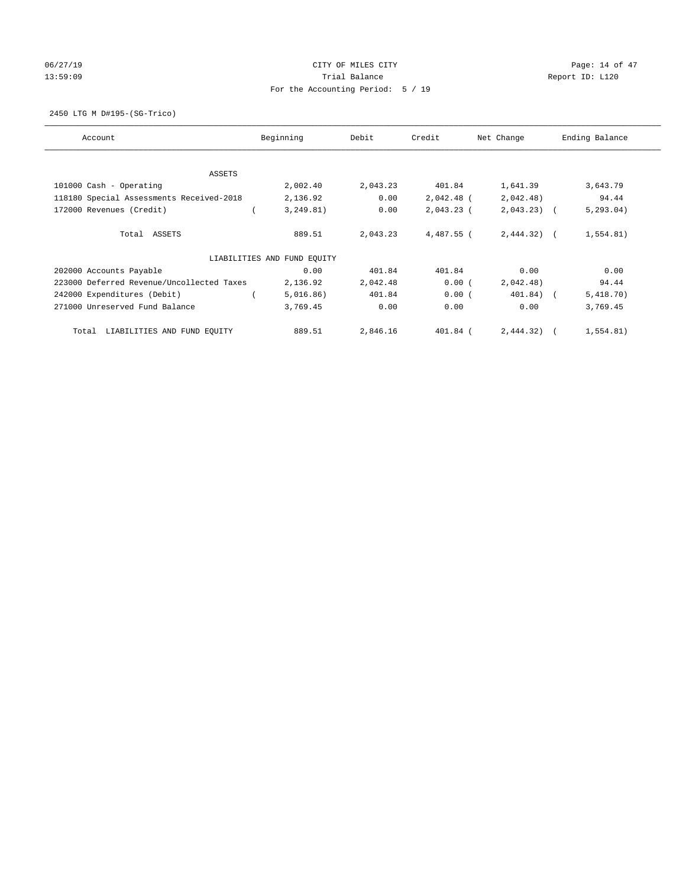# 06/27/19 Page: 14 of 47 13:59:09 Report ID: L120 For the Accounting Period: 5 / 19

2450 LTG M D#195-(SG-Trico)

| Account                                   | Beginning                   | Debit    | Credit       | Net Change   | Ending Balance |
|-------------------------------------------|-----------------------------|----------|--------------|--------------|----------------|
| ASSETS                                    |                             |          |              |              |                |
| 101000 Cash - Operating                   | 2,002.40                    | 2,043.23 | 401.84       | 1,641.39     | 3,643.79       |
| 118180 Special Assessments Received-2018  | 2,136.92                    | 0.00     | $2,042.48$ ( | 2,042.48)    | 94.44          |
| 172000 Revenues (Credit)                  | 3, 249.81)                  | 0.00     | $2,043.23$ ( | $2,043.23$ ( | 5, 293.04)     |
| Total ASSETS                              | 889.51                      | 2,043.23 | 4,487.55 (   | $2,444.32$ ( | 1,554.81)      |
|                                           | LIABILITIES AND FUND EQUITY |          |              |              |                |
| 202000 Accounts Payable                   | 0.00                        | 401.84   | 401.84       | 0.00         | 0.00           |
| 223000 Deferred Revenue/Uncollected Taxes | 2,136.92                    | 2,042.48 | 0.00(        | 2,042.48)    | 94.44          |
| 242000 Expenditures (Debit)               | 5,016.86)                   | 401.84   | 0.00(        | 401.84) (    | 5,418.70)      |
| 271000 Unreserved Fund Balance            | 3,769.45                    | 0.00     | 0.00         | 0.00         | 3,769.45       |
| LIABILITIES AND FUND EQUITY<br>Total      | 889.51                      | 2,846.16 | 401.84 (     | 2,444.32)    | 1,554.81)      |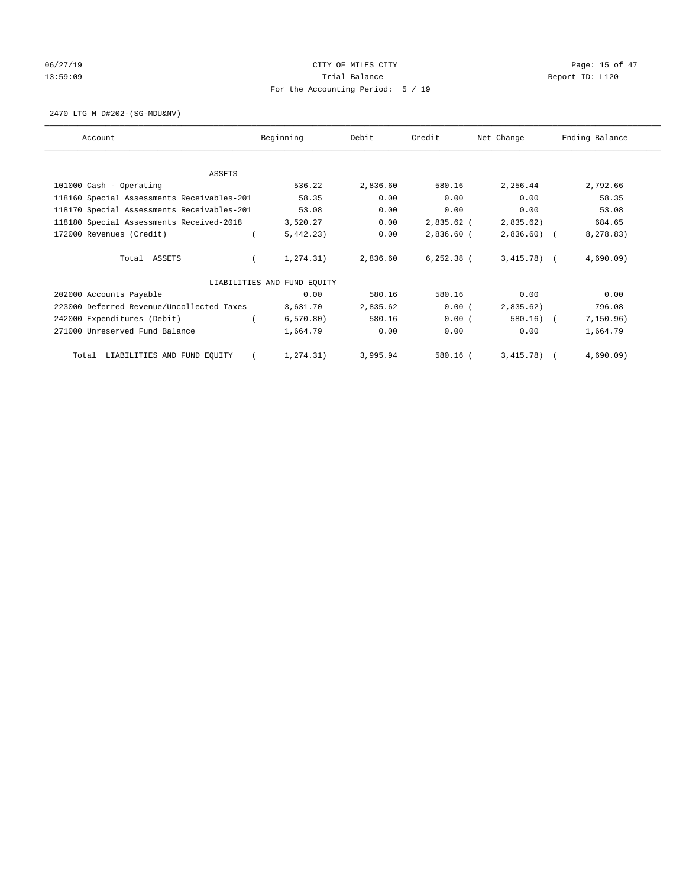# 06/27/19 Page: 15 of 47 13:59:09 Report ID: L120 For the Accounting Period: 5 / 19

2470 LTG M D#202-(SG-MDU&NV)

| Account                                    | Beginning                   | Debit    | Credit       | Net Change   | Ending Balance |
|--------------------------------------------|-----------------------------|----------|--------------|--------------|----------------|
|                                            |                             |          |              |              |                |
| ASSETS<br>101000 Cash - Operating          | 536.22                      | 2,836.60 | 580.16       | 2,256.44     | 2,792.66       |
| 118160 Special Assessments Receivables-201 | 58.35                       | 0.00     | 0.00         | 0.00         | 58.35          |
|                                            |                             |          |              |              |                |
| 118170 Special Assessments Receivables-201 | 53.08                       | 0.00     | 0.00         | 0.00         | 53.08          |
| 118180 Special Assessments Received-2018   | 3,520.27                    | 0.00     | 2,835.62 (   | 2,835.62)    | 684.65         |
| 172000 Revenues (Credit)                   | 5,442,23)                   | 0.00     | $2,836.60$ ( | $2,836.60$ ( | 8,278.83)      |
| Total ASSETS                               | 1, 274.31)                  | 2,836.60 | $6,252.38$ ( | $3,415.78$ ( | 4,690.09       |
|                                            | LIABILITIES AND FUND EQUITY |          |              |              |                |
| 202000 Accounts Payable                    | 0.00                        | 580.16   | 580.16       | 0.00         | 0.00           |
| 223000 Deferred Revenue/Uncollected Taxes  | 3,631.70                    | 2,835.62 | 0.00(        | 2,835.62)    | 796.08         |
| 242000 Expenditures (Debit)                | 6, 570.80)                  | 580.16   | 0.00(        | $580.16)$ (  | 7, 150.96)     |
| 271000 Unreserved Fund Balance             | 1,664.79                    | 0.00     | 0.00         | 0.00         | 1,664.79       |
| LIABILITIES AND FUND EQUITY<br>Total       | 1, 274.31)                  | 3,995.94 | 580.16 (     | $3,415.78$ ( | 4,690.09       |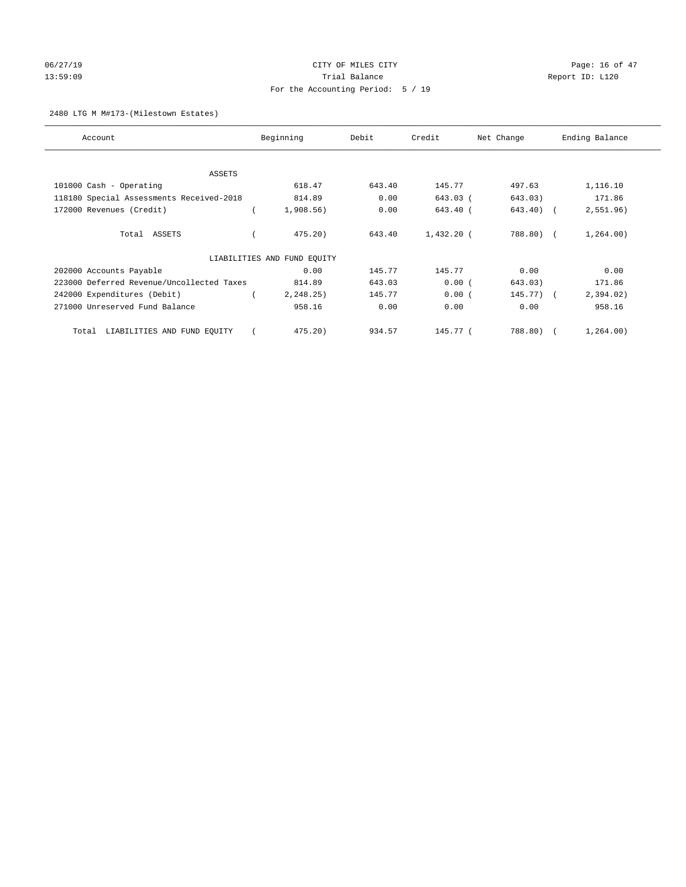# 06/27/19 **Page: 16 of 47** CITY OF MILES CITY **Page: 16 of 47** 13:59:09 Report ID: L120 For the Accounting Period: 5 / 19

## 2480 LTG M M#173-(Milestown Estates)

| Account                                   | Beginning                   | Debit  | Credit       | Net Change | Ending Balance |
|-------------------------------------------|-----------------------------|--------|--------------|------------|----------------|
| ASSETS                                    |                             |        |              |            |                |
| 101000 Cash - Operating                   | 618.47                      | 643.40 | 145.77       | 497.63     | 1,116.10       |
| 118180 Special Assessments Received-2018  | 814.89                      | 0.00   | 643.03 (     | 643.03)    | 171.86         |
| 172000 Revenues (Credit)                  | $1,908.56$ )                | 0.00   | 643.40 (     | 643.40) (  | 2,551.96)      |
| Total ASSETS                              | 475.20                      | 643.40 | $1,432,20$ ( | 788.80) (  | 1, 264.00)     |
|                                           | LIABILITIES AND FUND EQUITY |        |              |            |                |
| 202000 Accounts Payable                   | 0.00                        | 145.77 | 145.77       | 0.00       | 0.00           |
| 223000 Deferred Revenue/Uncollected Taxes | 814.89                      | 643.03 | 0.00(        | 643.03)    | 171.86         |
| 242000 Expenditures (Debit)               | 2,248.25)                   | 145.77 | 0.00(        | 145.77) (  | 2,394.02)      |
| 271000 Unreserved Fund Balance            | 958.16                      | 0.00   | 0.00         | 0.00       | 958.16         |
| LIABILITIES AND FUND EQUITY<br>Total      | 475.20                      | 934.57 | 145.77 (     | 788.80) (  | 1, 264.00)     |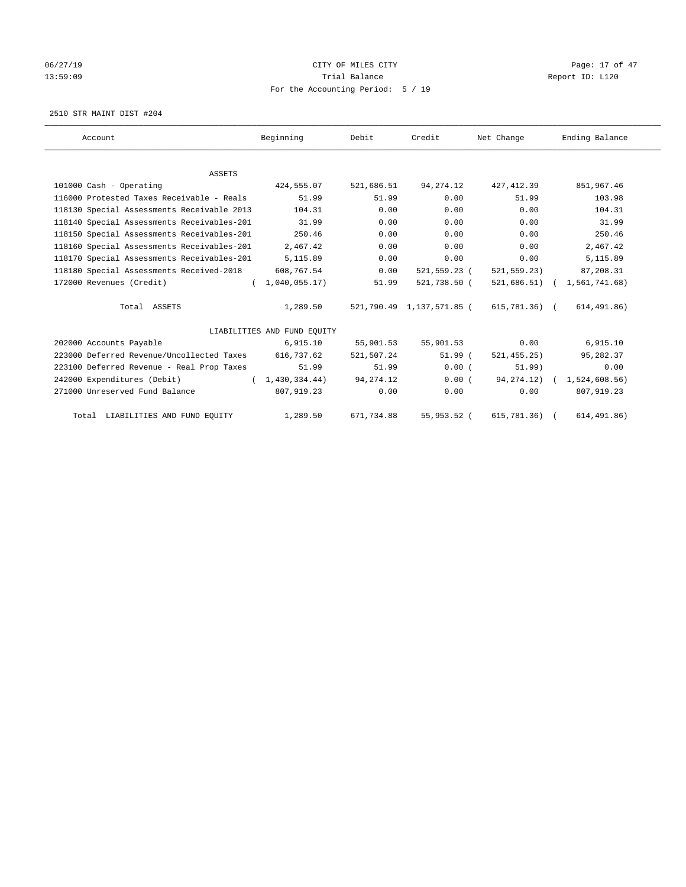# 06/27/19 Page: 17 of 47 13:59:09 Report ID: L120 For the Accounting Period: 5 / 19

2510 STR MAINT DIST #204

| Account                                    | Beginning                   | Debit       | Credit                    | Net Change    | Ending Balance                |
|--------------------------------------------|-----------------------------|-------------|---------------------------|---------------|-------------------------------|
|                                            |                             |             |                           |               |                               |
| <b>ASSETS</b>                              |                             |             |                           |               |                               |
| 101000 Cash - Operating                    | 424,555.07                  | 521,686.51  | 94, 274. 12               | 427, 412.39   | 851,967.46                    |
| 116000 Protested Taxes Receivable - Reals  | 51.99                       | 51.99       | 0.00                      | 51.99         | 103.98                        |
| 118130 Special Assessments Receivable 2013 | 104.31                      | 0.00        | 0.00                      | 0.00          | 104.31                        |
| 118140 Special Assessments Receivables-201 | 31.99                       | 0.00        | 0.00                      | 0.00          | 31.99                         |
| 118150 Special Assessments Receivables-201 | 250.46                      | 0.00        | 0.00                      | 0.00          | 250.46                        |
| 118160 Special Assessments Receivables-201 | 2,467.42                    | 0.00        | 0.00                      | 0.00          | 2,467.42                      |
| 118170 Special Assessments Receivables-201 | 5,115.89                    | 0.00        | 0.00                      | 0.00          | 5,115.89                      |
| 118180 Special Assessments Received-2018   | 608,767.54                  | 0.00        | 521,559.23 (              | 521,559.23)   | 87,208.31                     |
| 172000 Revenues (Credit)                   | (1, 040, 055.17)            | 51.99       | 521,738.50 (              |               | 521,686.51) ( 1,561,741.68)   |
| Total ASSETS                               | 1,289.50                    |             | 521,790.49 1,137,571.85 ( | 615,781.36) ( | 614, 491.86)                  |
|                                            | LIABILITIES AND FUND EQUITY |             |                           |               |                               |
| 202000 Accounts Payable                    | 6,915.10                    | 55,901.53   | 55,901.53                 | 0.00          | 6,915.10                      |
| 223000 Deferred Revenue/Uncollected Taxes  | 616,737.62                  | 521,507.24  | 51.99(                    | 521, 455.25)  | 95,282.37                     |
| 223100 Deferred Revenue - Real Prop Taxes  | 51.99                       | 51.99       | 0.00(                     | 51.99)        | 0.00                          |
| 242000 Expenditures (Debit)                | (1, 430, 334, 44)           | 94, 274. 12 | 0.00(                     |               | 94, 274.12) ( 1, 524, 608.56) |
| 271000 Unreserved Fund Balance             | 807,919.23                  | 0.00        | 0.00                      | 0.00          | 807,919.23                    |
| Total LIABILITIES AND FUND EQUITY          | 1,289.50                    | 671,734.88  | 55,953.52 (               | 615, 781.36)  | 614, 491.86)                  |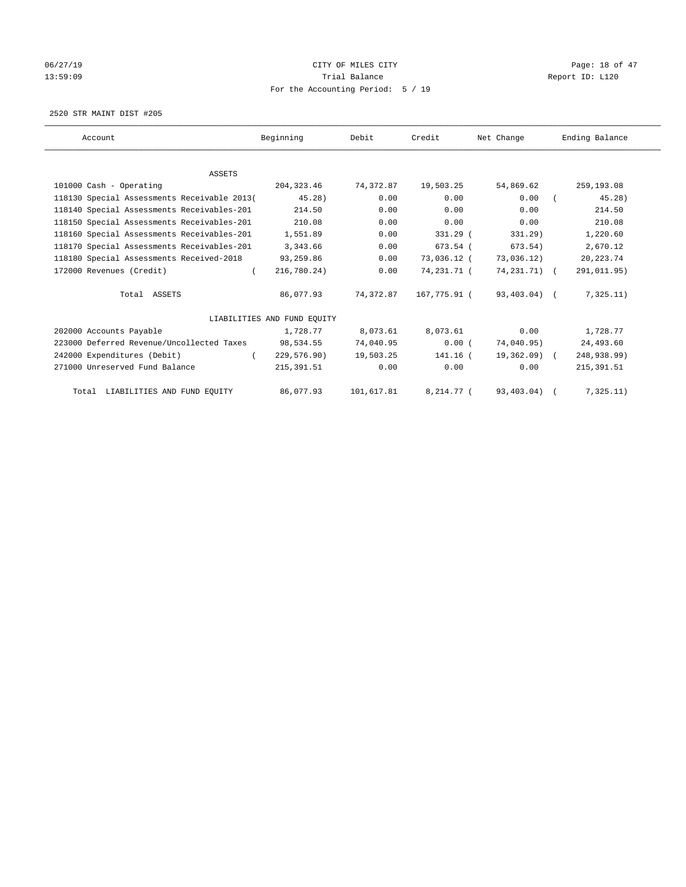# 06/27/19 **Page: 18 of 47** CITY OF MILES CITY **Page: 18 of 47** 13:59:09 Report ID: L120 For the Accounting Period: 5 / 19

2520 STR MAINT DIST #205

| Account                                     | Beginning                   | Debit      | Credit       | Net Change   | Ending Balance |
|---------------------------------------------|-----------------------------|------------|--------------|--------------|----------------|
|                                             |                             |            |              |              |                |
| <b>ASSETS</b><br>101000 Cash - Operating    | 204,323.46                  | 74,372.87  | 19,503.25    | 54,869.62    | 259,193.08     |
|                                             |                             |            |              |              |                |
| 118130 Special Assessments Receivable 2013( | $45.28$ )                   | 0.00       | 0.00         | 0.00         | 45.28)         |
| 118140 Special Assessments Receivables-201  | 214.50                      | 0.00       | 0.00         | 0.00         | 214.50         |
| 118150 Special Assessments Receivables-201  | 210.08                      | 0.00       | 0.00         | 0.00         | 210.08         |
| 118160 Special Assessments Receivables-201  | 1,551.89                    | 0.00       | 331.29 (     | 331.29)      | 1,220.60       |
| 118170 Special Assessments Receivables-201  | 3,343.66                    | 0.00       | 673.54 (     | 673.54)      | 2,670.12       |
| 118180 Special Assessments Received-2018    | 93,259.86                   | 0.00       | 73,036.12 (  | 73,036.12)   | 20, 223.74     |
| 172000 Revenues (Credit)                    | 216,780.24)                 | 0.00       | 74,231.71 (  | 74,231.71) ( | 291,011.95)    |
| Total ASSETS                                | 86,077.93                   | 74, 372.87 | 167,775.91 ( | 93,403.04) ( | 7,325.11)      |
|                                             | LIABILITIES AND FUND EQUITY |            |              |              |                |
| 202000 Accounts Payable                     | 1,728.77                    | 8,073.61   | 8,073.61     | 0.00         | 1,728.77       |
| 223000 Deferred Revenue/Uncollected Taxes   | 98,534.55                   | 74,040.95  | 0.00(        | 74,040.95)   | 24,493.60      |
| 242000 Expenditures (Debit)                 | 229,576.90)                 | 19,503.25  | 141.16 (     | 19,362.09) ( | 248,938.99)    |
| 271000 Unreserved Fund Balance              | 215, 391.51                 | 0.00       | 0.00         | 0.00         | 215, 391.51    |
| Total LIABILITIES AND FUND EQUITY           | 86,077.93                   | 101,617.81 | 8,214.77 (   | 93,403.04)   | 7,325.11)      |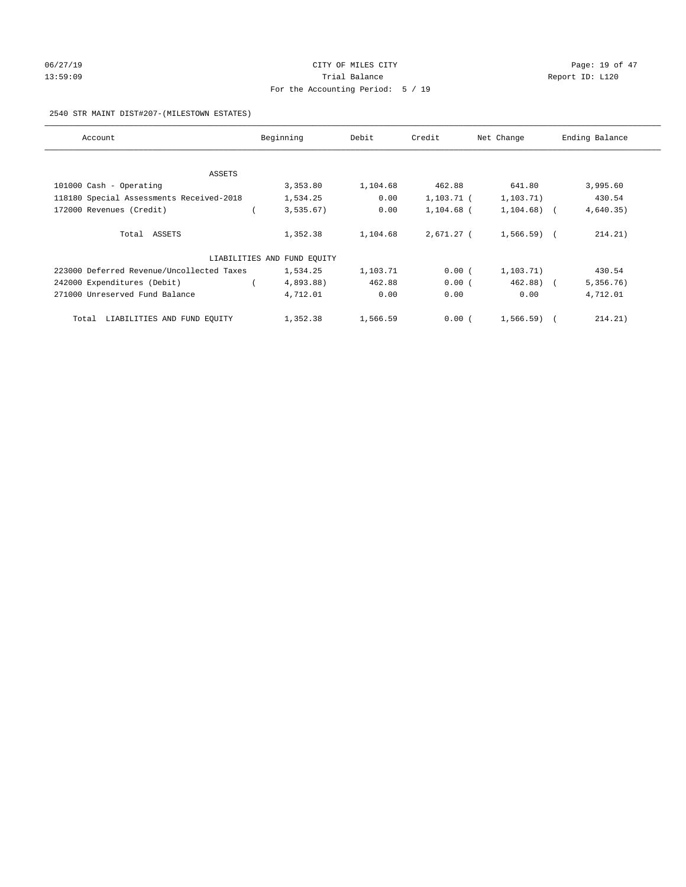# 06/27/19 **Page: 19 of 47** CITY OF MILES CITY **Page: 19 of 47** 13:59:09 Report ID: L120 For the Accounting Period: 5 / 19

## 2540 STR MAINT DIST#207-(MILESTOWN ESTATES)

| Account                                   | Beginning                   | Debit    | Credit       | Net Change     | Ending Balance |
|-------------------------------------------|-----------------------------|----------|--------------|----------------|----------------|
|                                           |                             |          |              |                |                |
| ASSETS                                    |                             |          |              |                |                |
| 101000 Cash - Operating                   | 3,353.80                    | 1,104.68 | 462.88       | 641.80         | 3,995.60       |
| 118180 Special Assessments Received-2018  | 1,534.25                    | 0.00     | 1,103.71 (   | 1, 103.71)     | 430.54         |
| 172000 Revenues (Credit)                  | 3,535.67)                   | 0.00     | $1,104.68$ ( | $1,104.68$ ) ( | 4,640.35)      |
| Total ASSETS                              | 1,352.38                    | 1,104.68 | 2,671.27 (   | $1,566.59$ (   | 214.21)        |
|                                           | LIABILITIES AND FUND EQUITY |          |              |                |                |
| 223000 Deferred Revenue/Uncollected Taxes | 1,534.25                    | 1,103.71 | 0.00(        | 1, 103.71)     | 430.54         |
| 242000 Expenditures (Debit)               | 4,893.88)                   | 462.88   | 0.00(        | $462.88$ ) (   | 5,356.76)      |
| 271000 Unreserved Fund Balance            | 4,712.01                    | 0.00     | 0.00         | 0.00           | 4,712.01       |
| Total LIABILITIES AND FUND EQUITY         | 1,352.38                    | 1,566.59 | 0.00(        | $1,566.59$ (   | 214.21)        |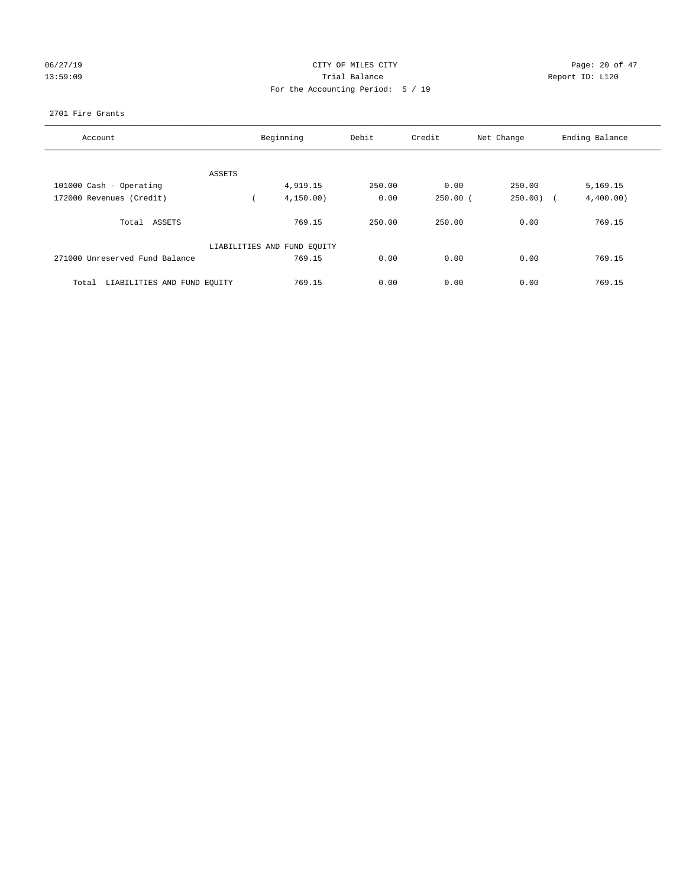# 06/27/19 Page: 20 of 47 13:59:09 Report ID: L120 For the Accounting Period: 5 / 19

## 2701 Fire Grants

| Account                              |        | Beginning                   | Debit  | Credit     | Net Change            | Ending Balance |
|--------------------------------------|--------|-----------------------------|--------|------------|-----------------------|----------------|
|                                      |        |                             |        |            |                       |                |
|                                      | ASSETS |                             |        |            |                       |                |
| 101000 Cash - Operating              |        | 4,919.15                    | 250.00 | 0.00       | 250.00                | 5,169.15       |
| 172000 Revenues (Credit)             |        | 4, 150.00)                  | 0.00   | $250.00$ ( | 250.00)<br>$\sqrt{1}$ | 4,400.00)      |
| Total ASSETS                         |        | 769.15                      | 250.00 | 250.00     | 0.00                  | 769.15         |
|                                      |        | LIABILITIES AND FUND EQUITY |        |            |                       |                |
| 271000 Unreserved Fund Balance       |        | 769.15                      | 0.00   | 0.00       | 0.00                  | 769.15         |
| LIABILITIES AND FUND EQUITY<br>Total |        | 769.15                      | 0.00   | 0.00       | 0.00                  | 769.15         |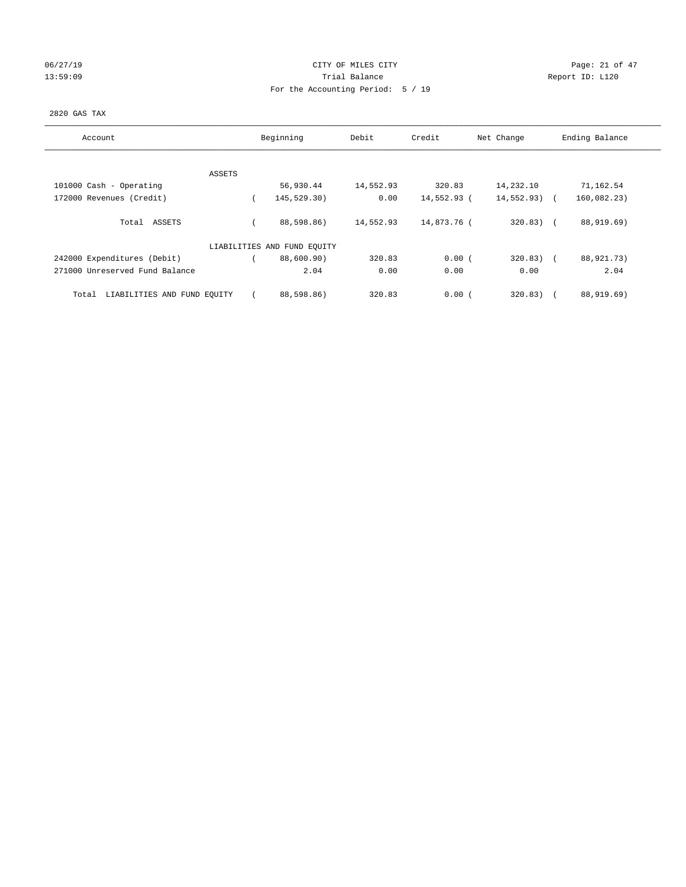# 06/27/19 Page: 21 of 47 13:59:09 Report ID: L120 For the Accounting Period: 5 / 19

## 2820 GAS TAX

| Account                              | Beginning                   | Debit     | Credit      | Net Change    | Ending Balance       |
|--------------------------------------|-----------------------------|-----------|-------------|---------------|----------------------|
|                                      |                             |           |             |               |                      |
| ASSETS<br>101000 Cash - Operating    | 56,930.44                   | 14,552.93 | 320.83      | 14,232.10     | 71,162.54            |
| 172000 Revenues (Credit)             | 145,529.30)                 | 0.00      | 14,552.93 ( | $14,552.93$ ( | 160,082.23)          |
| Total ASSETS                         | 88,598.86)                  | 14,552.93 | 14,873.76 ( | $320.83)$ (   | 88,919.69)           |
|                                      | LIABILITIES AND FUND EQUITY |           |             |               |                      |
| 242000 Expenditures (Debit)          | 88,600.90)                  | 320.83    | 0.00(       | $320.83$ ) (  | 88,921.73)           |
| 271000 Unreserved Fund Balance       | 2.04                        | 0.00      | 0.00        | 0.00          | 2.04                 |
| LIABILITIES AND FUND EQUITY<br>Total | 88,598.86)                  | 320.83    | 0.00(       | 320.83)       | 88,919.69)<br>$\sim$ |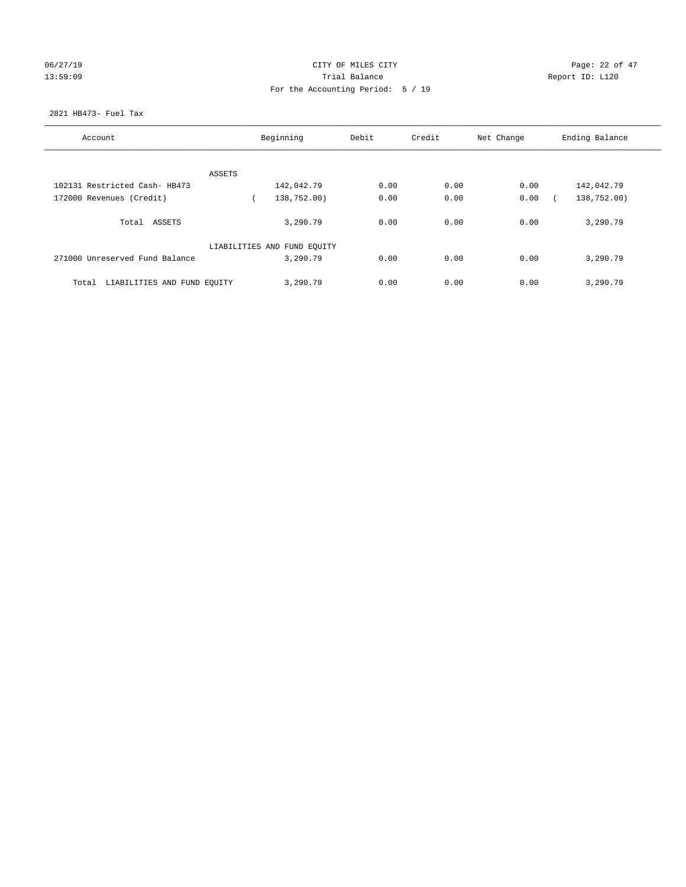|  |  |  | 06/27/19 |  |
|--|--|--|----------|--|
|  |  |  | 12.50.00 |  |

# CITY OF MILES CITY CONTROL CONTROL CONTROL CITY CONTROL Page: 22 of 47 13:59:09 Report ID: L120 For the Accounting Period: 5 / 19

## 2821 HB473- Fuel Tax

| Account                              | Beginning |                             | Debit | Credit | Net Change | Ending Balance |
|--------------------------------------|-----------|-----------------------------|-------|--------|------------|----------------|
|                                      |           |                             |       |        |            |                |
|                                      | ASSETS    |                             |       |        |            |                |
| 102131 Restricted Cash- HB473        |           | 142,042.79                  | 0.00  | 0.00   | 0.00       | 142,042.79     |
| 172000 Revenues (Credit)             |           | 138,752.00)                 | 0.00  | 0.00   | 0.00       | 138,752.00)    |
| ASSETS<br>Total                      |           | 3,290.79                    | 0.00  | 0.00   | 0.00       | 3,290.79       |
|                                      |           | LIABILITIES AND FUND EQUITY |       |        |            |                |
| 271000 Unreserved Fund Balance       |           | 3,290.79                    | 0.00  | 0.00   | 0.00       | 3,290.79       |
| LIABILITIES AND FUND EQUITY<br>Total |           | 3,290.79                    | 0.00  | 0.00   | 0.00       | 3,290.79       |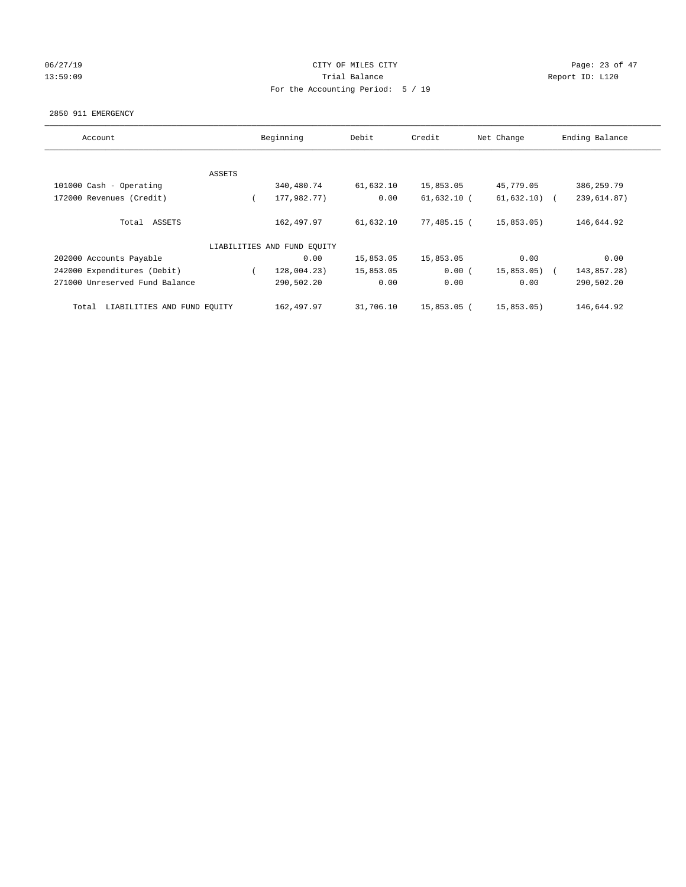## 06/27/19 Page: 23 of 47 13:59:09 Report ID: L120 For the Accounting Period: 5 / 19

#### 2850 911 EMERGENCY

| Account                              |        | Beginning                   | Debit     | Credit        | Net Change    | Ending Balance |
|--------------------------------------|--------|-----------------------------|-----------|---------------|---------------|----------------|
|                                      |        |                             |           |               |               |                |
|                                      | ASSETS |                             |           |               |               |                |
| 101000 Cash - Operating              |        | 340,480.74                  | 61,632.10 | 15,853.05     | 45,779.05     | 386,259.79     |
| 172000 Revenues (Credit)             |        | 177,982.77)                 | 0.00      | $61,632.10$ ( | $61,632.10$ ( | 239,614.87)    |
| Total ASSETS                         |        | 162,497.97                  | 61,632.10 | 77,485.15 (   | 15,853.05)    | 146,644.92     |
|                                      |        | LIABILITIES AND FUND EQUITY |           |               |               |                |
| 202000 Accounts Payable              |        | 0.00                        | 15,853.05 | 15,853.05     | 0.00          | 0.00           |
| 242000 Expenditures (Debit)          |        | 128,004.23)                 | 15,853.05 | 0.00(         | 15,853.05)    | 143,857.28)    |
| 271000 Unreserved Fund Balance       |        | 290,502.20                  | 0.00      | 0.00          | 0.00          | 290,502.20     |
| LIABILITIES AND FUND EQUITY<br>Total |        | 162,497.97                  | 31,706.10 | 15,853.05 (   | 15,853.05)    | 146,644.92     |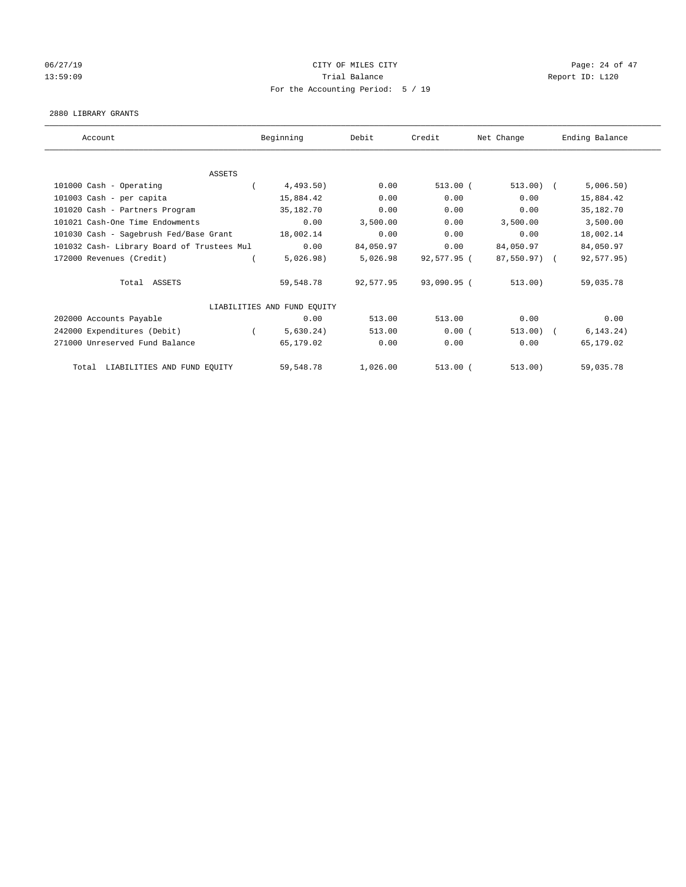## 06/27/19 Page: 24 of 47 13:59:09 Report ID: L120 For the Accounting Period: 5 / 19

#### 2880 LIBRARY GRANTS

| Account                                    | Beginning                   | Debit     | Credit      | Net Change   | Ending Balance |
|--------------------------------------------|-----------------------------|-----------|-------------|--------------|----------------|
|                                            |                             |           |             |              |                |
| <b>ASSETS</b>                              |                             |           |             |              |                |
| 101000 Cash - Operating                    | 4,493.50)                   | 0.00      | $513.00$ (  | $513.00)$ (  | 5,006.50)      |
| 101003 Cash - per capita                   | 15,884.42                   | 0.00      | 0.00        | 0.00         | 15,884.42      |
| 101020 Cash - Partners Program             | 35,182.70                   | 0.00      | 0.00        | 0.00         | 35,182.70      |
| 101021 Cash-One Time Endowments            | 0.00                        | 3,500.00  | 0.00        | 3,500.00     | 3,500.00       |
| 101030 Cash - Sagebrush Fed/Base Grant     | 18,002.14                   | 0.00      | 0.00        | 0.00         | 18,002.14      |
| 101032 Cash- Library Board of Trustees Mul | 0.00                        | 84,050.97 | 0.00        | 84,050.97    | 84,050.97      |
| 172000 Revenues (Credit)                   | 5,026.98)                   | 5,026.98  | 92,577.95 ( | 87,550.97) ( | 92,577.95)     |
| Total ASSETS                               | 59,548.78                   | 92,577.95 | 93,090.95 ( | 513.00)      | 59,035.78      |
|                                            | LIABILITIES AND FUND EQUITY |           |             |              |                |
| 202000 Accounts Payable                    | 0.00                        | 513.00    | 513.00      | 0.00         | 0.00           |
| 242000 Expenditures (Debit)                | 5,630.24)                   | 513.00    | 0.00(       | 513.00       | 6, 143.24)     |
| 271000 Unreserved Fund Balance             | 65,179.02                   | 0.00      | 0.00        | 0.00         | 65,179.02      |
| LIABILITIES AND FUND EQUITY<br>Total       | 59,548.78                   | 1,026.00  | $513.00$ (  | 513.00)      | 59,035.78      |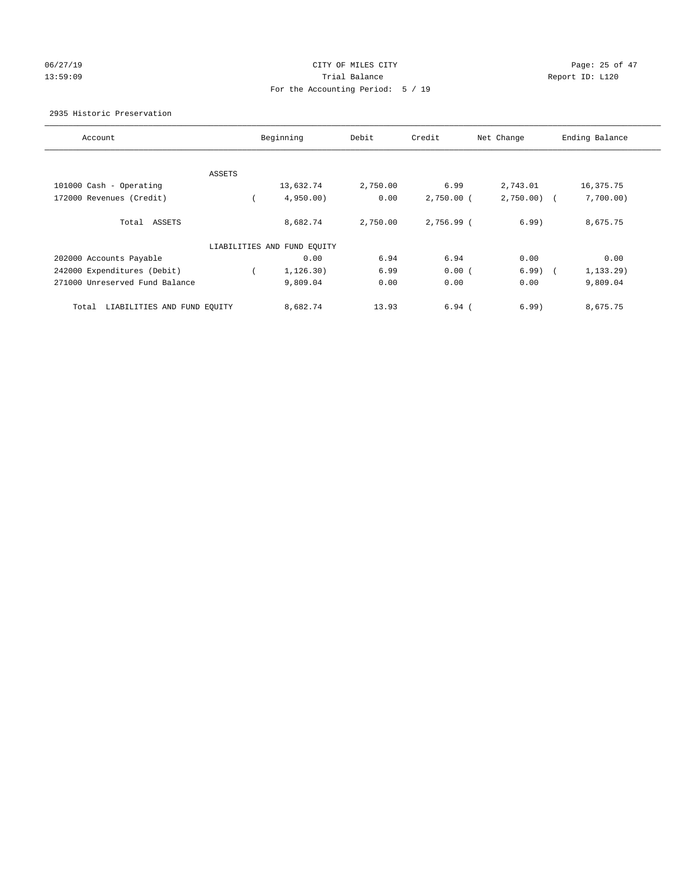## 06/27/19 Page: 25 of 47 13:59:09 Report ID: L120 For the Accounting Period: 5 / 19

## 2935 Historic Preservation

| Account                              |        | Beginning                   | Debit    | Credit       | Net Change | Ending Balance |
|--------------------------------------|--------|-----------------------------|----------|--------------|------------|----------------|
|                                      |        |                             |          |              |            |                |
|                                      | ASSETS |                             |          |              |            |                |
| 101000 Cash - Operating              |        | 13,632.74                   | 2,750.00 | 6.99         | 2,743.01   | 16,375.75      |
| 172000 Revenues (Credit)             |        | 4,950.00                    | 0.00     | $2,750.00$ ( | 2,750.00   | 7,700.00)      |
| Total ASSETS                         |        | 8,682.74                    | 2,750.00 | 2,756.99 (   | 6.99)      | 8,675.75       |
|                                      |        | LIABILITIES AND FUND EQUITY |          |              |            |                |
| 202000 Accounts Payable              |        | 0.00                        | 6.94     | 6.94         | 0.00       | 0.00           |
| 242000 Expenditures (Debit)          |        | 1, 126.30)                  | 6.99     | 0.00(        | $6.99$ $($ | $1, 133.29$ )  |
| 271000 Unreserved Fund Balance       |        | 9,809.04                    | 0.00     | 0.00         | 0.00       | 9,809.04       |
| LIABILITIES AND FUND EQUITY<br>Total |        | 8,682.74                    | 13.93    | $6.94$ (     | 6.99       | 8,675.75       |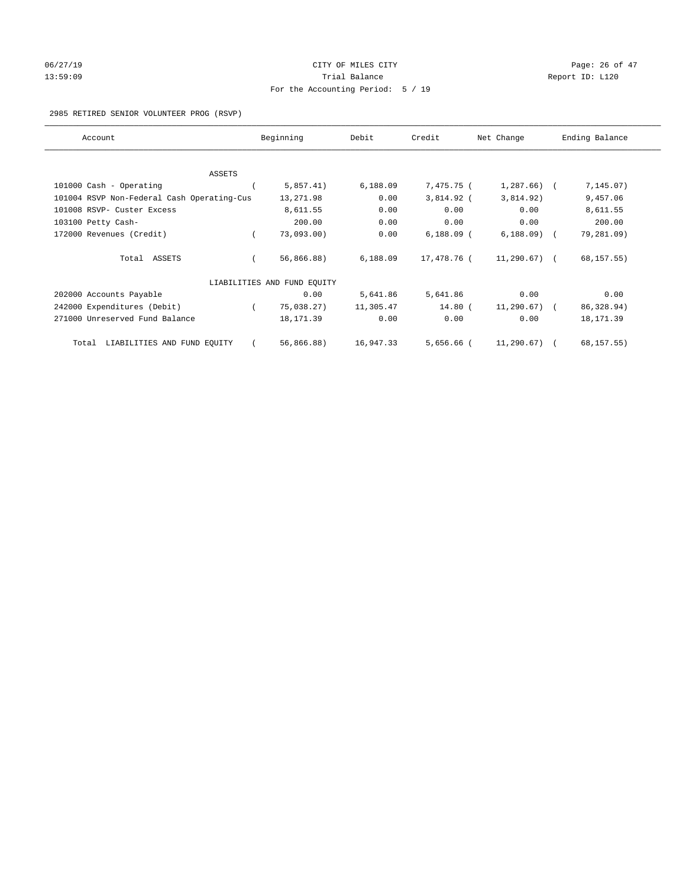# 06/27/19 **Page: 26 of 47** CITY OF MILES CITY **Page: 26 of 47** 13:59:09 Report ID: L120 For the Accounting Period: 5 / 19

## 2985 RETIRED SENIOR VOLUNTEER PROG (RSVP)

| Account                                    | Beginning                   | Debit     | Credit       | Net Change    | Ending Balance |
|--------------------------------------------|-----------------------------|-----------|--------------|---------------|----------------|
|                                            |                             |           |              |               |                |
| ASSETS                                     |                             |           |              |               |                |
| 101000 Cash - Operating                    | 5,857.41)                   | 6,188.09  | 7,475.75 (   | $1,287.66$ (  | 7, 145.07)     |
| 101004 RSVP Non-Federal Cash Operating-Cus | 13,271.98                   | 0.00      | 3,814.92 (   | 3,814.92)     | 9,457.06       |
| 101008 RSVP- Custer Excess                 | 8,611.55                    | 0.00      | 0.00         | 0.00          | 8,611.55       |
| 103100 Petty Cash-                         | 200.00                      | 0.00      | 0.00         | 0.00          | 200.00         |
| 172000 Revenues (Credit)                   | $73,093.00$ )               | 0.00      | $6,188.09$ ( | $6,188.09$ (  | 79,281.09)     |
| Total ASSETS                               | 56,866.88)                  | 6,188.09  | 17,478.76 (  | $11,290.67$ ( | 68, 157.55)    |
|                                            | LIABILITIES AND FUND EQUITY |           |              |               |                |
| 202000 Accounts Payable                    | 0.00                        | 5,641.86  | 5,641.86     | 0.00          | 0.00           |
| 242000 Expenditures (Debit)                | 75,038.27)                  | 11,305.47 | 14.80 (      | $11,290.67$ ( | 86, 328.94)    |
| 271000 Unreserved Fund Balance             | 18, 171.39                  | 0.00      | 0.00         | 0.00          | 18, 171.39     |
| LIABILITIES AND FUND EQUITY<br>Total       | 56,866.88)                  | 16,947.33 | $5,656.66$ ( | 11,290.67)    | 68, 157.55)    |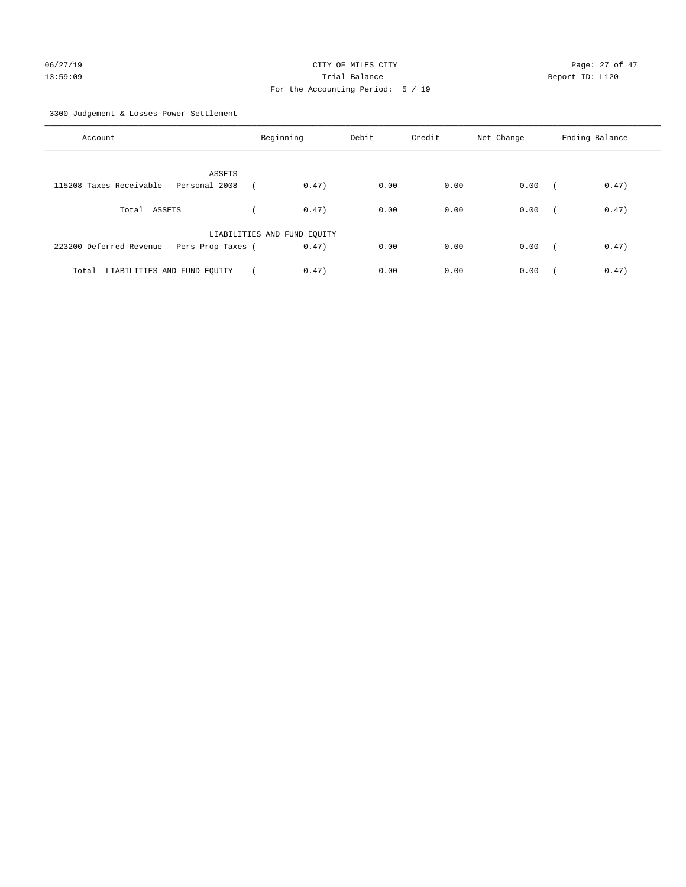3300 Judgement & Losses-Power Settlement

| Account                                     | Beginning                   |       | Debit | Credit | Net Change | Ending Balance |       |
|---------------------------------------------|-----------------------------|-------|-------|--------|------------|----------------|-------|
| ASSETS                                      |                             |       |       |        |            |                |       |
| 115208 Taxes Receivable - Personal 2008     |                             | 0.47) | 0.00  | 0.00   | 0.00       | $\sqrt{2}$     | 0.47) |
| Total ASSETS                                |                             | 0.47) | 0.00  | 0.00   | 0.00       | $\sqrt{2}$     | 0.47) |
|                                             | LIABILITIES AND FUND EQUITY |       |       |        |            |                |       |
| 223200 Deferred Revenue - Pers Prop Taxes ( |                             | 0.47) | 0.00  | 0.00   | 0.00       | $\sim$         | 0.47) |
| LIABILITIES AND FUND EQUITY<br>Total        |                             | 0.47) | 0.00  | 0.00   | 0.00       |                | 0.47) |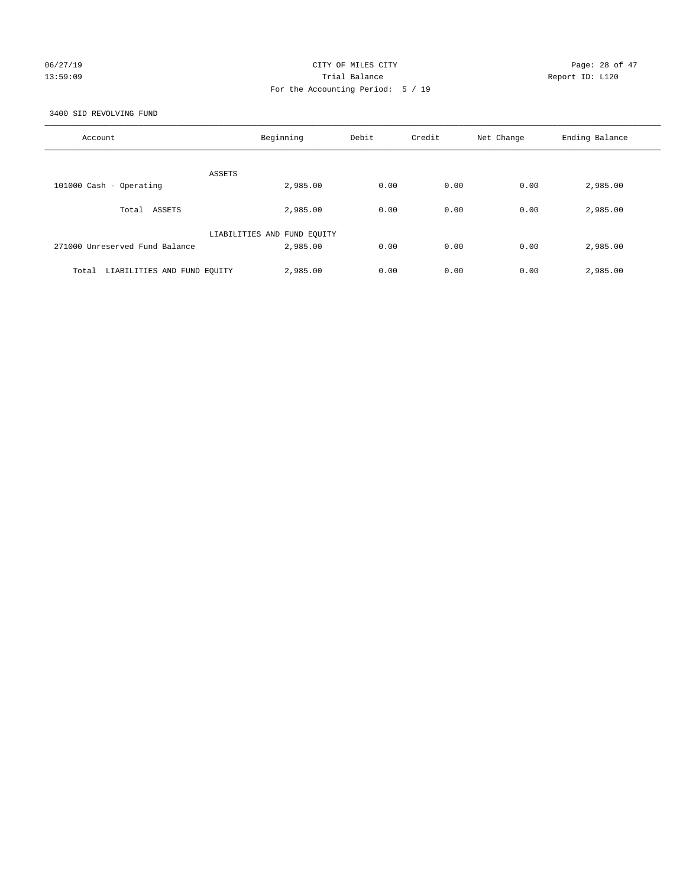## 06/27/19 **Page: 28 of 47** CITY OF MILES CITY **Page: 28 of 47** 13:59:09 Trial Balance Report ID: L120 For the Accounting Period: 5 / 19

3400 SID REVOLVING FUND

| Account                              | Beginning                   | Debit | Credit | Net Change | Ending Balance |
|--------------------------------------|-----------------------------|-------|--------|------------|----------------|
| ASSETS                               |                             |       |        |            |                |
| 101000 Cash - Operating              | 2,985.00                    | 0.00  | 0.00   | 0.00       | 2,985.00       |
| Total ASSETS                         | 2,985.00                    | 0.00  | 0.00   | 0.00       | 2,985.00       |
|                                      | LIABILITIES AND FUND EQUITY |       |        |            |                |
| 271000 Unreserved Fund Balance       | 2,985.00                    | 0.00  | 0.00   | 0.00       | 2,985.00       |
| LIABILITIES AND FUND EQUITY<br>Total | 2,985.00                    | 0.00  | 0.00   | 0.00       | 2,985.00       |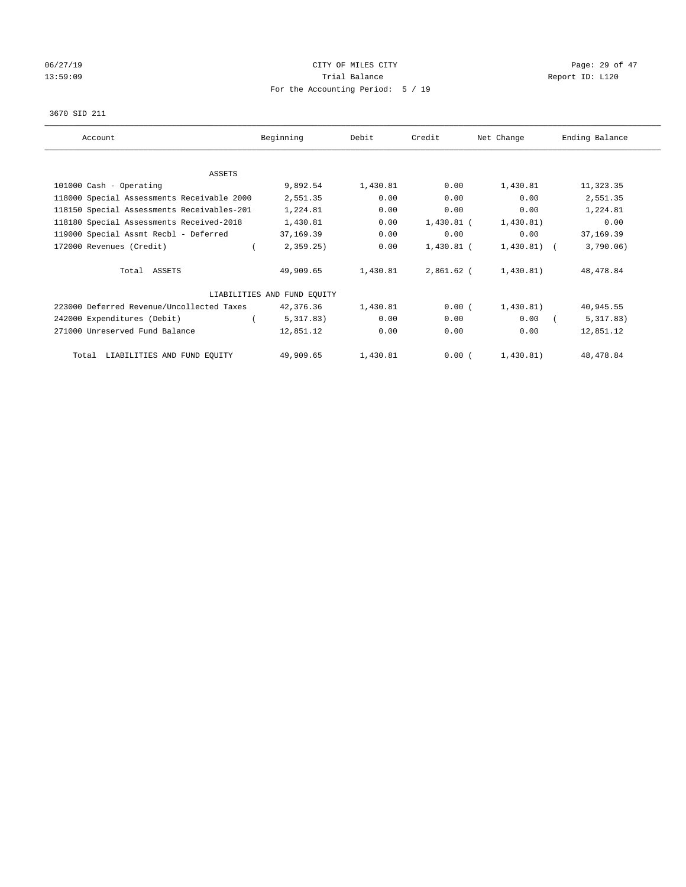# 06/27/19 **Page: 29 of 47** CITY OF MILES CITY **CITY Page: 29 of 47** 13:59:09 Report ID: L120 For the Accounting Period: 5 / 19

## 3670 SID 211

| Account                                    | Beginning                   | Debit    | Credit     | Net Change   | Ending Balance |
|--------------------------------------------|-----------------------------|----------|------------|--------------|----------------|
|                                            |                             |          |            |              |                |
| <b>ASSETS</b>                              |                             |          |            |              |                |
| 101000 Cash - Operating                    | 9,892.54                    | 1,430.81 | 0.00       | 1,430.81     | 11,323.35      |
| 118000 Special Assessments Receivable 2000 | 2,551.35                    | 0.00     | 0.00       | 0.00         | 2,551.35       |
| 118150 Special Assessments Receivables-201 | 1,224.81                    | 0.00     | 0.00       | 0.00         | 1,224.81       |
| 118180 Special Assessments Received-2018   | 1,430.81                    | 0.00     | 1,430.81 ( | 1,430.81)    | 0.00           |
| 119000 Special Assmt Recbl - Deferred      | 37,169.39                   | 0.00     | 0.00       | 0.00         | 37, 169.39     |
| 172000 Revenues (Credit)                   | 2,359.25                    | 0.00     | 1,430.81 ( | $1,430.81$ ( | 3,790.06)      |
| Total ASSETS                               | 49,909.65                   | 1,430.81 | 2,861.62 ( | 1,430.81)    | 48,478.84      |
|                                            | LIABILITIES AND FUND EQUITY |          |            |              |                |
| 223000 Deferred Revenue/Uncollected Taxes  | 42,376.36                   | 1,430.81 | 0.00(      | 1,430.81)    | 40,945.55      |
| 242000 Expenditures (Debit)                | 5,317.83)                   | 0.00     | 0.00       | 0.00         | 5,317.83)      |
| 271000 Unreserved Fund Balance             | 12,851.12                   | 0.00     | 0.00       | 0.00         | 12,851.12      |
| Total LIABILITIES AND FUND EQUITY          | 49,909.65                   | 1,430.81 | $0.00$ (   | 1,430.81)    | 48, 478.84     |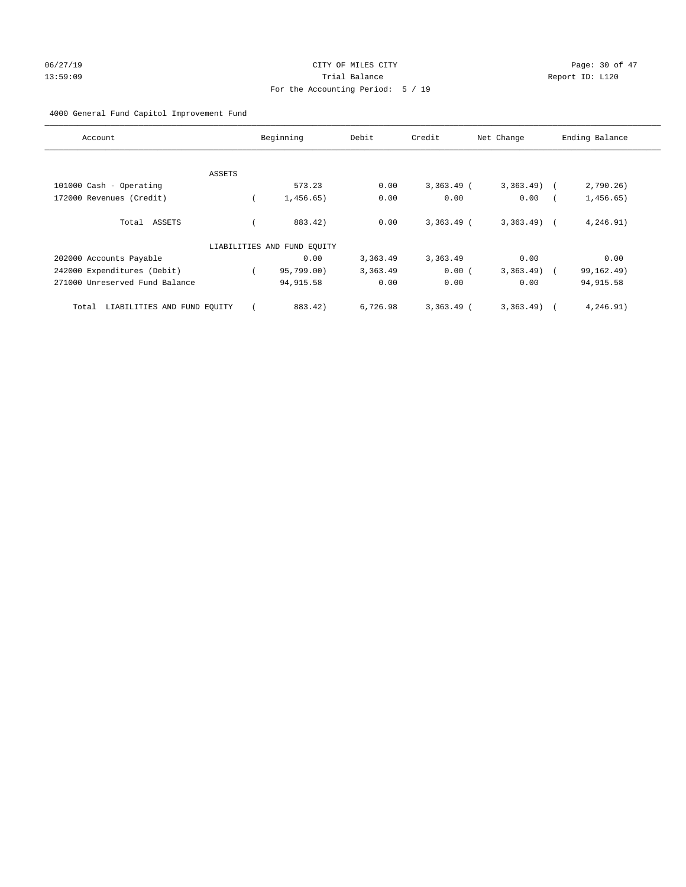# 06/27/19 Page: 30 of 47 13:59:09 Trial Balance Report ID: L120 For the Accounting Period: 5 / 19

## 4000 General Fund Capitol Improvement Fund

| Account                              | Beginning                   | Debit    | Credit       | Net Change   | Ending Balance |
|--------------------------------------|-----------------------------|----------|--------------|--------------|----------------|
|                                      |                             |          |              |              |                |
| ASSETS                               |                             |          |              |              |                |
| 101000 Cash - Operating              | 573.23                      | 0.00     | $3,363.49$ ( | $3,363.49$ ( | 2,790.26)      |
| 172000 Revenues (Credit)             | 1,456.65)                   | 0.00     | 0.00         | 0.00         | 1,456.65)      |
| Total ASSETS                         | 883.42)                     | 0.00     | $3,363.49$ ( | $3,363.49$ ( | 4,246.91)      |
|                                      | LIABILITIES AND FUND EQUITY |          |              |              |                |
| 202000 Accounts Payable              | 0.00                        | 3,363.49 | 3,363.49     | 0.00         | 0.00           |
| 242000 Expenditures (Debit)          | 95,799.00)                  | 3,363.49 | 0.00(        | $3,363.49$ ( | 99, 162. 49)   |
| 271000 Unreserved Fund Balance       | 94, 915.58                  | 0.00     | 0.00         | 0.00         | 94, 915.58     |
| LIABILITIES AND FUND EQUITY<br>Total | 883.42)                     | 6,726.98 | $3,363.49$ ( | 3,363.49)    | 4,246.91)      |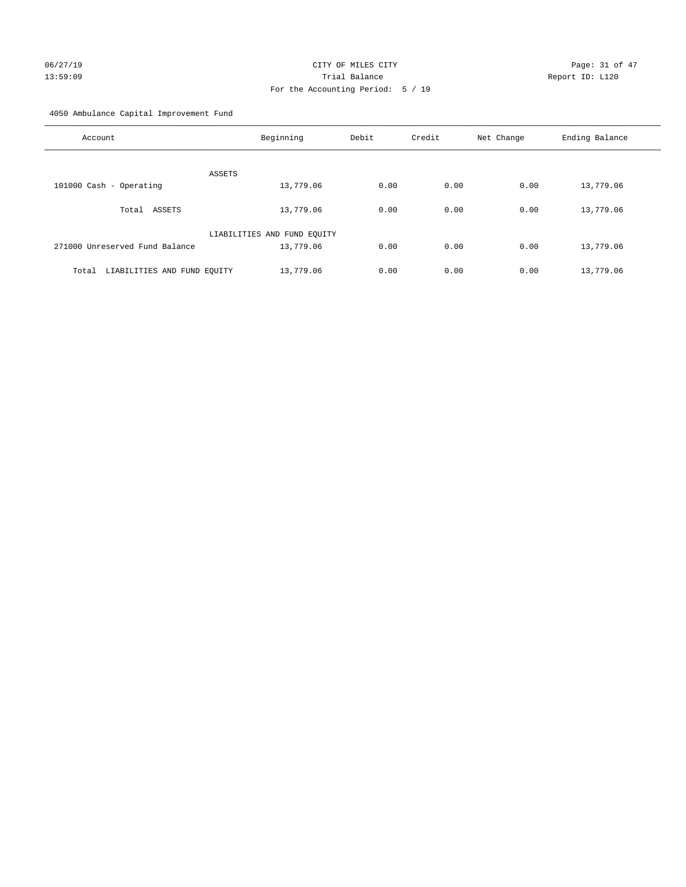# 06/27/19 Page: 31 of 47 13:59:09 Trial Balance Report ID: L120 For the Accounting Period: 5 / 19

4050 Ambulance Capital Improvement Fund

| Account                              | Beginning                   | Debit | Credit | Net Change | Ending Balance |
|--------------------------------------|-----------------------------|-------|--------|------------|----------------|
| ASSETS                               |                             |       |        |            |                |
| 101000 Cash - Operating              | 13,779.06                   | 0.00  | 0.00   | 0.00       | 13,779.06      |
| ASSETS<br>Total                      | 13,779.06                   | 0.00  | 0.00   | 0.00       | 13,779.06      |
|                                      | LIABILITIES AND FUND EQUITY |       |        |            |                |
| 271000 Unreserved Fund Balance       | 13,779.06                   | 0.00  | 0.00   | 0.00       | 13,779.06      |
| LIABILITIES AND FUND EQUITY<br>Total | 13,779.06                   | 0.00  | 0.00   | 0.00       | 13,779.06      |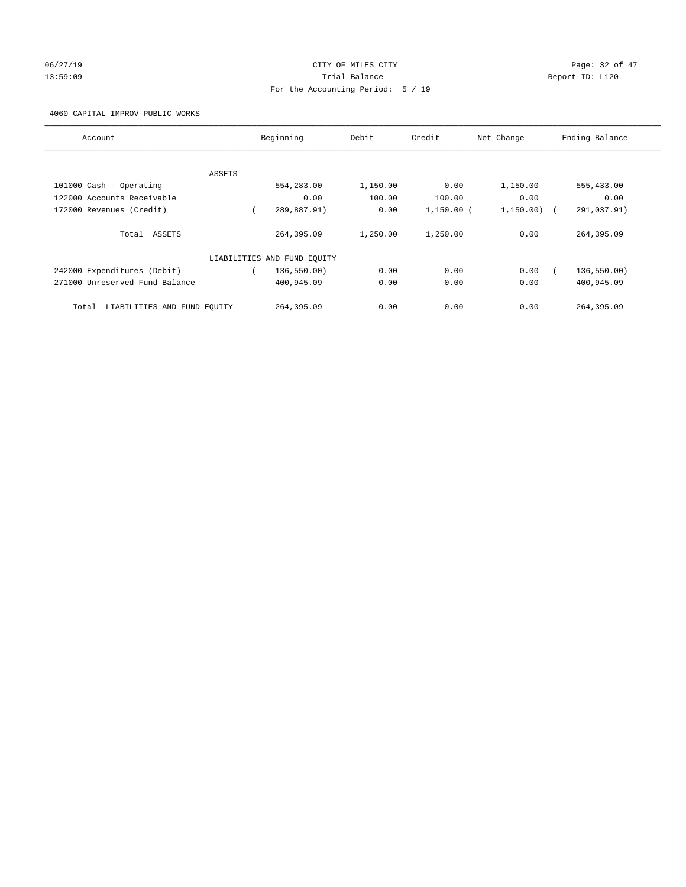# 06/27/19 **Page: 32 of 47** CITY OF MILES CITY **Page: 32 of 47** 13:59:09 Trial Balance Report ID: L120 For the Accounting Period: 5 / 19

4060 CAPITAL IMPROV-PUBLIC WORKS

| Account                              |        | Beginning                   | Debit    | Credit       | Net Change | Ending Balance |
|--------------------------------------|--------|-----------------------------|----------|--------------|------------|----------------|
|                                      |        |                             |          |              |            |                |
|                                      | ASSETS |                             |          |              |            |                |
| 101000 Cash - Operating              |        | 554,283.00                  | 1,150.00 | 0.00         | 1,150.00   | 555,433.00     |
| 122000 Accounts Receivable           |        | 0.00                        | 100.00   | 100.00       | 0.00       | 0.00           |
| 172000 Revenues (Credit)             |        | 289,887.91)                 | 0.00     | $1,150.00$ ( | 1, 150.00) | 291,037.91)    |
| Total ASSETS                         |        | 264,395.09                  | 1,250.00 | 1,250.00     | 0.00       | 264,395.09     |
|                                      |        | LIABILITIES AND FUND EQUITY |          |              |            |                |
| 242000 Expenditures (Debit)          |        | 136, 550.00)                | 0.00     | 0.00         | 0.00       | 136,550.00)    |
| 271000 Unreserved Fund Balance       |        | 400,945.09                  | 0.00     | 0.00         | 0.00       | 400,945.09     |
| LIABILITIES AND FUND EOUITY<br>Total |        | 264,395.09                  | 0.00     | 0.00         | 0.00       | 264,395.09     |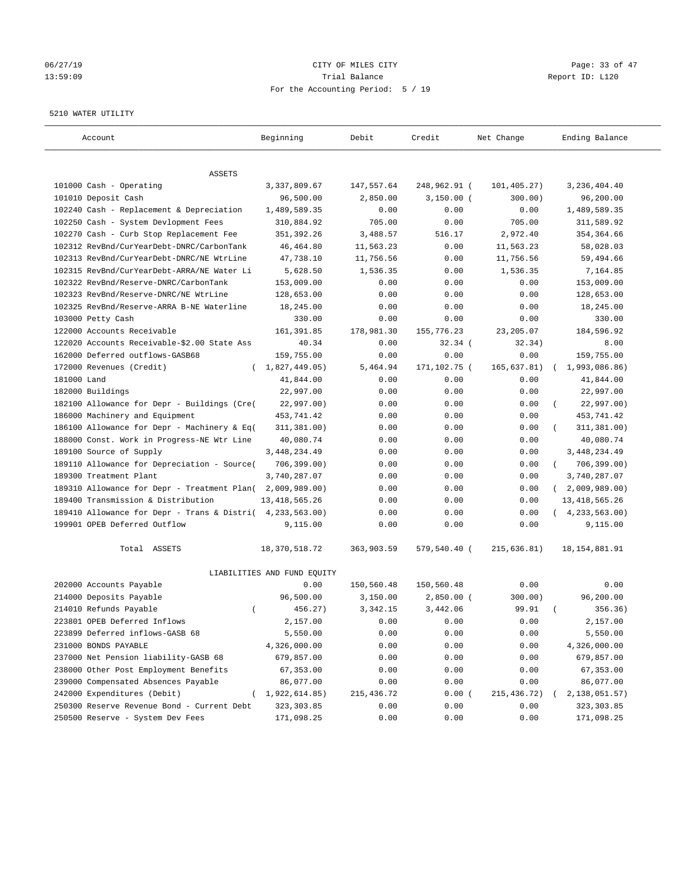## 06/27/19 Page: 33 of 47 13:59:09 Trial Balance Report ID: L120 For the Accounting Period: 5 / 19

#### 5210 WATER UTILITY

| Account                                     | Beginning                   | Debit       | Credit       | Net Change  | Ending Balance             |
|---------------------------------------------|-----------------------------|-------------|--------------|-------------|----------------------------|
| ASSETS                                      |                             |             |              |             |                            |
| 101000 Cash - Operating                     | 3, 337, 809.67              | 147,557.64  | 248,962.91 ( | 101,405.27) | 3, 236, 404.40             |
| 101010 Deposit Cash                         | 96,500.00                   | 2,850.00    | $3,150.00$ ( | 300.00)     | 96,200.00                  |
| 102240 Cash - Replacement & Depreciation    | 1,489,589.35                | 0.00        | 0.00         | 0.00        | 1,489,589.35               |
| 102250 Cash - System Devlopment Fees        | 310,884.92                  | 705.00      | 0.00         | 705.00      | 311,589.92                 |
| 102270 Cash - Curb Stop Replacement Fee     | 351,392.26                  | 3,488.57    | 516.17       | 2,972.40    | 354, 364.66                |
| 102312 RevBnd/CurYearDebt-DNRC/CarbonTank   | 46, 464.80                  | 11,563.23   | 0.00         | 11,563.23   | 58,028.03                  |
| 102313 RevBnd/CurYearDebt-DNRC/NE WtrLine   | 47,738.10                   | 11,756.56   | 0.00         | 11,756.56   | 59,494.66                  |
| 102315 RevBnd/CurYearDebt-ARRA/NE Water Li  | 5,628.50                    | 1,536.35    | 0.00         | 1,536.35    | 7,164.85                   |
| 102322 RevBnd/Reserve-DNRC/CarbonTank       | 153,009.00                  | 0.00        | 0.00         | 0.00        | 153,009.00                 |
| 102323 RevBnd/Reserve-DNRC/NE WtrLine       | 128,653.00                  | 0.00        | 0.00         | 0.00        | 128,653.00                 |
| 102325 RevBnd/Reserve-ARRA B-NE Waterline   | 18,245.00                   | 0.00        | 0.00         | 0.00        | 18,245.00                  |
| 103000 Petty Cash                           | 330.00                      | 0.00        | 0.00         | 0.00        | 330.00                     |
| 122000 Accounts Receivable                  | 161,391.85                  | 178,981.30  | 155,776.23   | 23, 205.07  | 184,596.92                 |
| 122020 Accounts Receivable-\$2.00 State Ass | 40.34                       | 0.00        | $32.34$ (    | 32.34)      | 8.00                       |
| 162000 Deferred outflows-GASB68             | 159,755.00                  | 0.00        | 0.00         | 0.00        | 159,755.00                 |
| 172000 Revenues (Credit)                    | (1,827,449.05)              | 5,464.94    | 171,102.75 ( | 165,637.81) | 1,993,086.86)              |
| 181000 Land                                 | 41,844.00                   | 0.00        | 0.00         | 0.00        | 41,844.00                  |
| 182000 Buildings                            | 22,997.00                   | 0.00        | 0.00         | 0.00        | 22,997.00                  |
| 182100 Allowance for Depr - Buildings (Cre( | 22,997.00)                  | 0.00        | 0.00         | 0.00        | 22,997.00)                 |
| 186000 Machinery and Equipment              | 453,741.42                  | 0.00        | 0.00         | 0.00        | 453,741.42                 |
| 186100 Allowance for Depr - Machinery & Eq( | 311, 381.00)                | 0.00        | 0.00         | 0.00        | 311,381.00)                |
| 188000 Const. Work in Progress-NE Wtr Line  | 40,080.74                   | 0.00        | 0.00         | 0.00        | 40,080.74                  |
| 189100 Source of Supply                     | 3, 448, 234.49              | 0.00        | 0.00         | 0.00        | 3,448,234.49               |
| 189110 Allowance for Depreciation - Source( | 706, 399.00)                | 0.00        | 0.00         | 0.00        | 706,399.00)<br>$\left($    |
| 189300 Treatment Plant                      | 3,740,287.07                | 0.00        | 0.00         | 0.00        | 3,740,287.07               |
| 189310 Allowance for Depr - Treatment Plan( | 2,009,989.00)               | 0.00        | 0.00         | 0.00        | 2,009,989.00<br>$\sqrt{2}$ |
| 189400 Transmission & Distribution          | 13, 418, 565.26             | 0.00        | 0.00         | 0.00        | 13, 418, 565.26            |
| 189410 Allowance for Depr - Trans & Distri( | 4, 233, 563.00)             | 0.00        | 0.00         | 0.00        | (4, 233, 563.00)           |
| 199901 OPEB Deferred Outflow                | 9,115.00                    | 0.00        | 0.00         | 0.00        | 9,115.00                   |
| Total ASSETS                                | 18, 370, 518.72             | 363,903.59  | 579,540.40 ( | 215,636.81) | 18, 154, 881. 91           |
|                                             | LIABILITIES AND FUND EQUITY |             |              |             |                            |
| 202000 Accounts Payable                     | 0.00                        | 150,560.48  | 150,560.48   | 0.00        | 0.00                       |
| 214000 Deposits Payable                     | 96,500.00                   | 3,150.00    | $2,850.00$ ( | 300.00)     | 96,200.00                  |
| 214010 Refunds Payable<br>$\left($          | 456.27)                     | 3, 342. 15  | 3,442.06     | 99.91       | 356.36)                    |
| 223801 OPEB Deferred Inflows                | 2,157.00                    | 0.00        | 0.00         | 0.00        | 2,157.00                   |
| 223899 Deferred inflows-GASB 68             | 5,550.00                    | 0.00        | 0.00         | 0.00        | 5,550.00                   |
| 231000 BONDS PAYABLE                        | 4,326,000.00                | 0.00        | 0.00         | 0.00        | 4,326,000.00               |
| 237000 Net Pension liability-GASB 68        | 679,857.00                  | 0.00        | 0.00         | 0.00        | 679,857.00                 |
| 238000 Other Post Employment Benefits       | 67,353.00                   | 0.00        | 0.00         | 0.00        | 67,353.00                  |
| 239000 Compensated Absences Payable         | 86,077.00                   | 0.00        | 0.00         | 0.00        | 86,077.00                  |
| 242000 Expenditures (Debit)                 | (1,922,614.85)              | 215, 436.72 | 0.00(        | 215,436.72) | 2,138,051.57)              |
| 250300 Reserve Revenue Bond - Current Debt  | 323, 303.85                 | 0.00        | 0.00         | 0.00        | 323, 303.85                |
| 250500 Reserve - System Dev Fees            | 171,098.25                  | 0.00        | 0.00         | 0.00        | 171,098.25                 |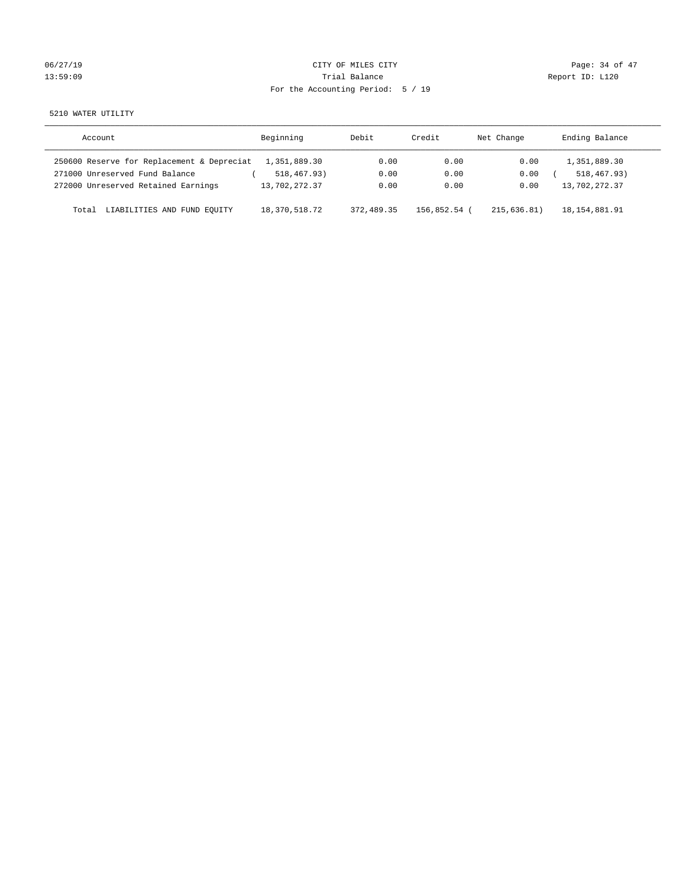| 06/27/19 |  |  |
|----------|--|--|
| 13:59:09 |  |  |

# CITY OF MILES CITY CONTROL CONTROL CONTROL CITY 13:59:09 Report ID: L120 For the Accounting Period: 5 / 19

5210 WATER UTILITY

| Account                                    | Beginning     | Debit      | Credit     | Net Change  | Ending Balance  |
|--------------------------------------------|---------------|------------|------------|-------------|-----------------|
| 250600 Reserve for Replacement & Depreciat | 1,351,889.30  | 0.00       | 0.00       | 0.00        | 1,351,889.30    |
| 271000 Unreserved Fund Balance             | 518,467.93)   | 0.00       | 0.00       | 0.00        | 518, 467, 93)   |
| 272000 Unreserved Retained Earnings        | 13,702,272.37 | 0.00       | 0.00       | 0.00        | 13,702,272.37   |
| LIABILITIES AND FUND EQUITY<br>Total       | 18,370,518.72 | 372,489.35 | 156,852.54 | 215.636.81) | 18, 154, 881.91 |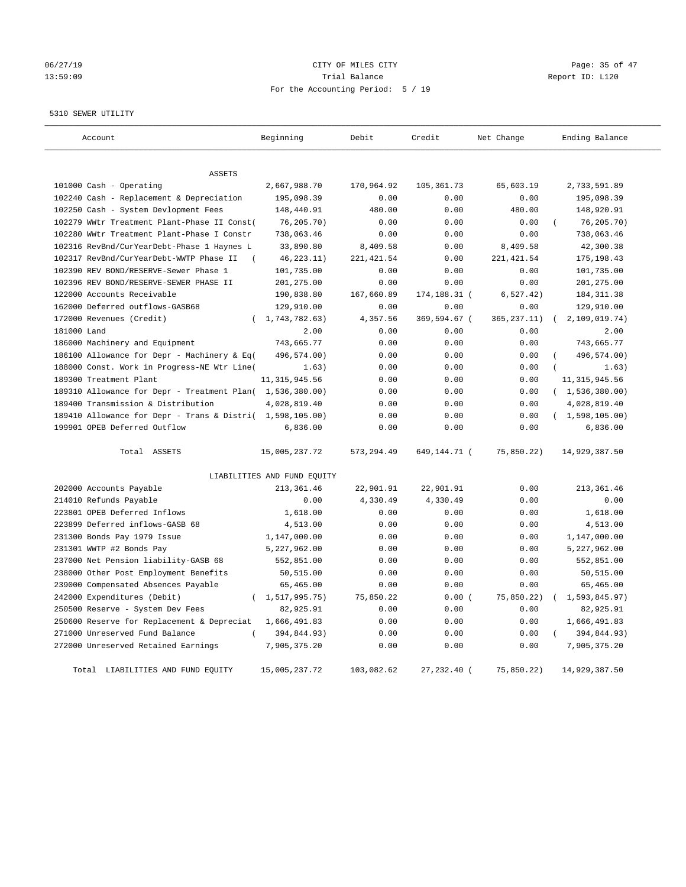# 06/27/19 **Page: 35 of 47** CITY OF MILES CITY **Page: 35 of 47** 13:59:09 Trial Balance Report ID: L120 For the Accounting Period: 5 / 19

5310 SEWER UTILITY

| Account                                                   | Beginning                   | Debit       | Credit       | Net Change   | Ending Balance          |
|-----------------------------------------------------------|-----------------------------|-------------|--------------|--------------|-------------------------|
|                                                           |                             |             |              |              |                         |
| ASSETS                                                    |                             |             |              |              |                         |
| 101000 Cash - Operating                                   | 2,667,988.70                | 170,964.92  | 105, 361.73  | 65,603.19    | 2,733,591.89            |
| 102240 Cash - Replacement & Depreciation                  | 195,098.39                  | 0.00        | 0.00         | 0.00         | 195,098.39              |
| 102250 Cash - System Devlopment Fees                      | 148,440.91                  | 480.00      | 0.00         | 480.00       | 148,920.91              |
| 102279 WWtr Treatment Plant-Phase II Const(               | 76,205.70)                  | 0.00        | 0.00         | 0.00         | 76, 205.70)             |
| 102280 WWtr Treatment Plant-Phase I Constr                | 738,063.46                  | 0.00        | 0.00         | 0.00         | 738,063.46              |
| 102316 RevBnd/CurYearDebt-Phase 1 Haynes L                | 33,890.80                   | 8,409.58    | 0.00         | 8,409.58     | 42,300.38               |
| 102317 RevBnd/CurYearDebt-WWTP Phase II                   | 46, 223. 11)                | 221, 421.54 | 0.00         | 221, 421.54  | 175, 198.43             |
| 102390 REV BOND/RESERVE-Sewer Phase 1                     | 101,735.00                  | 0.00        | 0.00         | 0.00         | 101,735.00              |
| 102396 REV BOND/RESERVE-SEWER PHASE II                    | 201,275.00                  | 0.00        | 0.00         | 0.00         | 201,275.00              |
| 122000 Accounts Receivable                                | 190,838.80                  | 167,660.89  | 174,188.31 ( | 6, 527.42)   | 184, 311.38             |
| 162000 Deferred outflows-GASB68                           | 129,910.00                  | 0.00        | 0.00         | 0.00         | 129,910.00              |
| 172000 Revenues (Credit)<br>$\left($                      | 1,743,782.63)               | 4,357.56    | 369,594.67 ( | 365, 237.11) | 2,109,019.74)           |
| 181000 Land                                               | 2.00                        | 0.00        | 0.00         | 0.00         | 2.00                    |
| 186000 Machinery and Equipment                            | 743,665.77                  | 0.00        | 0.00         | 0.00         | 743,665.77              |
| 186100 Allowance for Depr - Machinery & Eq(               | 496,574.00)                 | 0.00        | 0.00         | 0.00         | 496,574.00)             |
| 188000 Const. Work in Progress-NE Wtr Line(               | 1.63)                       | 0.00        | 0.00         | 0.00         | 1.63)                   |
| 189300 Treatment Plant                                    | 11, 315, 945.56             | 0.00        | 0.00         | 0.00         | 11, 315, 945.56         |
| 189310 Allowance for Depr - Treatment Plan( 1,536,380.00) |                             | 0.00        | 0.00         | 0.00         | (1, 536, 380.00)        |
| 189400 Transmission & Distribution                        | 4,028,819.40                | 0.00        | 0.00         | 0.00         | 4,028,819.40            |
| 189410 Allowance for Depr - Trans & Distri( 1,598,105.00) |                             | 0.00        | 0.00         | 0.00         | (1,598,105.00)          |
| 199901 OPEB Deferred Outflow                              | 6,836.00                    | 0.00        | 0.00         | 0.00         | 6,836.00                |
| Total ASSETS                                              | 15,005,237.72               | 573, 294.49 | 649,144.71 ( | 75,850.22)   | 14,929,387.50           |
|                                                           | LIABILITIES AND FUND EQUITY |             |              |              |                         |
| 202000 Accounts Payable                                   | 213, 361.46                 | 22,901.91   | 22,901.91    | 0.00         | 213,361.46              |
| 214010 Refunds Payable                                    | 0.00                        | 4,330.49    | 4,330.49     | 0.00         | 0.00                    |
| 223801 OPEB Deferred Inflows                              | 1,618.00                    | 0.00        | 0.00         | 0.00         | 1,618.00                |
| 223899 Deferred inflows-GASB 68                           | 4,513.00                    | 0.00        | 0.00         | 0.00         | 4,513.00                |
| 231300 Bonds Pay 1979 Issue                               | 1,147,000.00                | 0.00        | 0.00         | 0.00         | 1,147,000.00            |
| 231301 WWTP #2 Bonds Pay                                  | 5,227,962.00                | 0.00        | 0.00         | 0.00         | 5,227,962.00            |
| 237000 Net Pension liability-GASB 68                      | 552,851.00                  | 0.00        | 0.00         | 0.00         | 552,851.00              |
| 238000 Other Post Employment Benefits                     | 50,515.00                   | 0.00        | 0.00         | 0.00         | 50,515.00               |
| 239000 Compensated Absences Payable                       | 65,465.00                   | 0.00        | 0.00         | 0.00         | 65,465.00               |
| 242000 Expenditures (Debit)<br>$\left($                   | 1,517,995.75)               | 75,850.22   | 0.00(        | 75,850.22)   | 1,593,845.97)           |
| 250500 Reserve - System Dev Fees                          | 82,925.91                   | 0.00        | 0.00         | 0.00         | 82,925.91               |
| 250600 Reserve for Replacement & Depreciat                | 1,666,491.83                | 0.00        | 0.00         | 0.00         | 1,666,491.83            |
| 271000 Unreserved Fund Balance                            | 394,844.93)                 | 0.00        | 0.00         | 0.00         | 394,844.93)<br>$\left($ |
| 272000 Unreserved Retained Earnings                       | 7,905,375.20                | 0.00        | 0.00         | 0.00         | 7,905,375.20            |
| Total LIABILITIES AND FUND EQUITY                         | 15,005,237.72               | 103,082.62  | 27,232.40 (  | 75,850.22)   | 14,929,387.50           |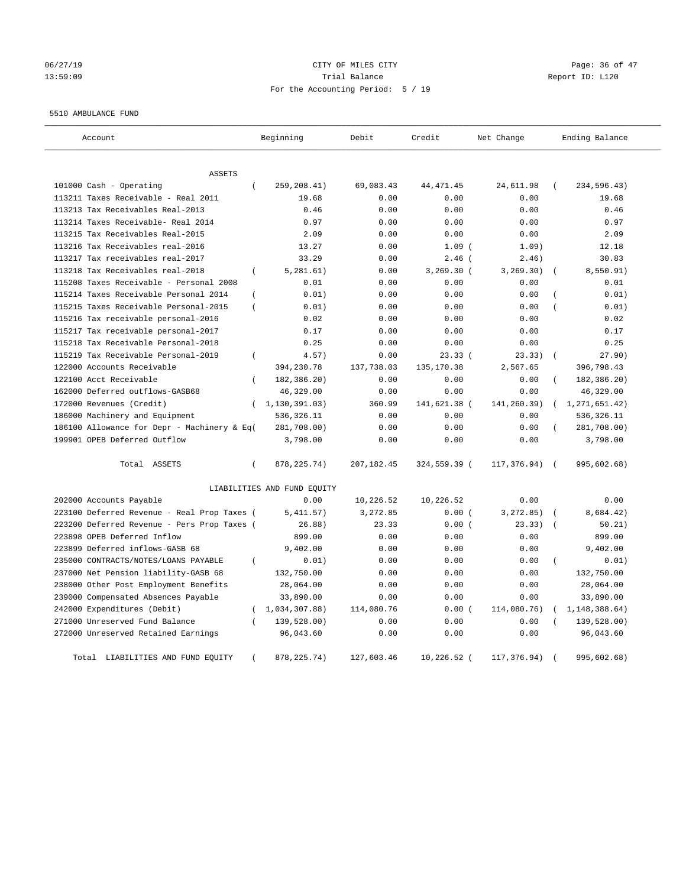# 06/27/19 **Page: 36 of 47** CITY OF MILES CITY **Page: 36 of 47** 13:59:09 Trial Balance Report ID: L120 For the Accounting Period: 5 / 19

#### 5510 AMBULANCE FUND

| Account                                                   | Beginning                   | Debit       | Credit       | Net Change  | Ending Balance            |
|-----------------------------------------------------------|-----------------------------|-------------|--------------|-------------|---------------------------|
|                                                           |                             |             |              |             |                           |
| ASSETS                                                    |                             |             |              |             |                           |
| 101000 Cash - Operating<br>$\left($                       | 259,208.41)                 | 69,083.43   | 44, 471.45   | 24,611.98   | 234,596.43)<br>$\left($   |
| 113211 Taxes Receivable - Real 2011                       | 19.68                       | 0.00        | 0.00         | 0.00        | 19.68                     |
| 113213 Tax Receivables Real-2013                          | 0.46                        | 0.00        | 0.00         | 0.00        | 0.46                      |
| 113214 Taxes Receivable- Real 2014                        | 0.97                        | 0.00        | 0.00         | 0.00        | 0.97                      |
| 113215 Tax Receivables Real-2015                          | 2.09                        | 0.00        | 0.00         | 0.00        | 2.09                      |
| 113216 Tax Receivables real-2016                          | 13.27                       | 0.00        | $1.09$ (     | 1.09)       | 12.18                     |
| 113217 Tax receivables real-2017                          | 33.29                       | 0.00        | $2.46$ (     | 2.46)       | 30.83                     |
| 113218 Tax Receivables real-2018<br>$\left($              | 5, 281.61)                  | 0.00        | 3,269.30 (   | 3, 269.30)  | 8,550.91)                 |
| 115208 Taxes Receivable - Personal 2008                   | 0.01                        | 0.00        | 0.00         | 0.00        | 0.01                      |
| 115214 Taxes Receivable Personal 2014<br>$\overline{(\ }$ | 0.01)                       | 0.00        | 0.00         | 0.00        | 0.01)                     |
| 115215 Taxes Receivable Personal-2015<br>$\overline{(\ }$ | 0.01)                       | 0.00        | 0.00         | 0.00        | 0.01)                     |
| 115216 Tax receivable personal-2016                       | 0.02                        | 0.00        | 0.00         | 0.00        | 0.02                      |
| 115217 Tax receivable personal-2017                       | 0.17                        | 0.00        | 0.00         | 0.00        | 0.17                      |
| 115218 Tax Receivable Personal-2018                       | 0.25                        | 0.00        | 0.00         | 0.00        | 0.25                      |
| 115219 Tax Receivable Personal-2019<br>$\left($           | 4.57)                       | 0.00        | 23.33(       | 23.33)      | 27.90)<br>$\sqrt{ }$      |
| 122000 Accounts Receivable                                | 394,230.78                  | 137,738.03  | 135, 170.38  | 2,567.65    | 396,798.43                |
| 122100 Acct Receivable<br>$\left($                        | 182,386.20)                 | 0.00        | 0.00         | 0.00        | 182,386.20)               |
| 162000 Deferred outflows-GASB68                           | 46,329.00                   | 0.00        | 0.00         | 0.00        | 46,329.00                 |
| 172000 Revenues (Credit)<br>$\left($                      | 1,130,391.03)               | 360.99      | 141,621.38 ( | 141,260.39) | 1,271,651.42)             |
| 186000 Machinery and Equipment                            | 536, 326.11                 | 0.00        | 0.00         | 0.00        | 536, 326.11               |
| 186100 Allowance for Depr - Machinery & Eq(               | 281,708.00)                 | 0.00        | 0.00         | 0.00        | 281,708.00)               |
| 199901 OPEB Deferred Outflow                              | 3,798.00                    | 0.00        | 0.00         | 0.00        | 3,798.00                  |
| Total ASSETS<br>$\left($                                  | 878, 225. 74)               | 207, 182.45 | 324,559.39 ( | 117,376.94) | 995,602.68)<br>$\sqrt{ }$ |
|                                                           | LIABILITIES AND FUND EQUITY |             |              |             |                           |
| 202000 Accounts Payable                                   | 0.00                        | 10,226.52   | 10,226.52    | 0.00        | 0.00                      |
| 223100 Deferred Revenue - Real Prop Taxes (               | 5,411.57)                   | 3,272.85    | 0.00(        | 3, 272.85)  | 8,684.42)                 |
| 223200 Deferred Revenue - Pers Prop Taxes (               | 26.88)                      | 23.33       | 0.00(        | 23.33)      | 50.21)                    |
| 223898 OPEB Deferred Inflow                               | 899.00                      | 0.00        | 0.00         | 0.00        | 899.00                    |
| 223899 Deferred inflows-GASB 68                           | 9,402.00                    | 0.00        | 0.00         | 0.00        | 9,402.00                  |
| 235000 CONTRACTS/NOTES/LOANS PAYABLE                      | 0.01)                       | 0.00        | 0.00         | 0.00        | $\left($<br>0.01)         |
| 237000 Net Pension liability-GASB 68                      | 132,750.00                  | 0.00        | 0.00         | 0.00        | 132,750.00                |
| 238000 Other Post Employment Benefits                     | 28,064.00                   | 0.00        | 0.00         | 0.00        | 28,064.00                 |
| 239000 Compensated Absences Payable                       | 33,890.00                   | 0.00        | 0.00         | 0.00        | 33,890.00                 |
| 242000 Expenditures (Debit)<br>$\left($                   | 1,034,307.88)               | 114,080.76  | 0.00(        | 114,080.76) | 1,148,388.64)             |
| 271000 Unreserved Fund Balance                            | 139,528.00)                 | 0.00        | 0.00         | 0.00        | 139,528.00)               |
| 272000 Unreserved Retained Earnings                       | 96,043.60                   | 0.00        | 0.00         | 0.00        | 96,043.60                 |
| Total LIABILITIES AND FUND EQUITY                         | 878, 225. 74)               | 127,603.46  | 10,226.52 (  | 117,376.94) | 995,602.68)               |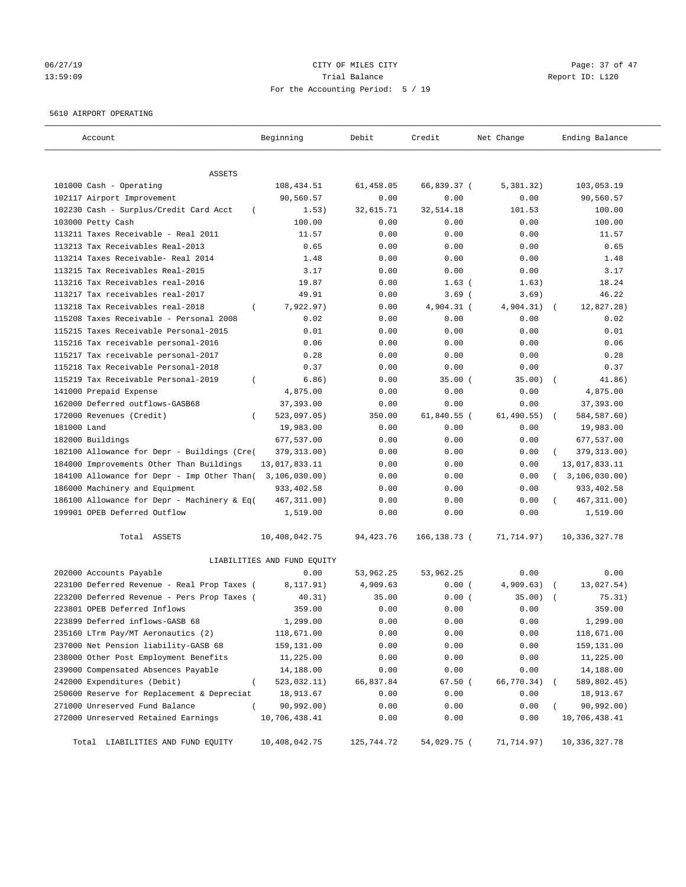# 06/27/19 **Page: 37 of 47** CITY OF MILES CITY **Page: 37 of 47** 13:59:09 Trial Balance Report ID: L120 For the Accounting Period: 5 / 19

## 5610 AIRPORT OPERATING

| Account                                            | Beginning                   | Debit       | Credit       | Net Change  | Ending Balance     |
|----------------------------------------------------|-----------------------------|-------------|--------------|-------------|--------------------|
| ASSETS                                             |                             |             |              |             |                    |
| 101000 Cash - Operating                            | 108,434.51                  | 61,458.05   | 66,839.37 (  | 5,381.32)   | 103,053.19         |
| 102117 Airport Improvement                         | 90,560.57                   | 0.00        | 0.00         | 0.00        | 90,560.57          |
| 102230 Cash - Surplus/Credit Card Acct<br>$\left($ | 1.53)                       | 32,615.71   | 32,514.18    | 101.53      | 100.00             |
| 103000 Petty Cash                                  | 100.00                      | 0.00        | 0.00         | 0.00        | 100.00             |
| 113211 Taxes Receivable - Real 2011                | 11.57                       | 0.00        | 0.00         | 0.00        | 11.57              |
| 113213 Tax Receivables Real-2013                   | 0.65                        | 0.00        | 0.00         | 0.00        | 0.65               |
| 113214 Taxes Receivable- Real 2014                 | 1.48                        | 0.00        | 0.00         | 0.00        | 1.48               |
| 113215 Tax Receivables Real-2015                   | 3.17                        | 0.00        | 0.00         | 0.00        | 3.17               |
| 113216 Tax Receivables real-2016                   | 19.87                       | 0.00        | $1.63$ (     | 1.63)       | 18.24              |
| 113217 Tax receivables real-2017                   | 49.91                       | 0.00        | $3.69$ (     | 3.69)       | 46.22              |
| 113218 Tax Receivables real-2018<br>$\left($       | 7,922.97)                   | 0.00        | 4,904.31 (   | 4,904.31)   | 12,827.28)         |
| 115208 Taxes Receivable - Personal 2008            | 0.02                        | 0.00        | 0.00         | 0.00        | 0.02               |
| 115215 Taxes Receivable Personal-2015              | 0.01                        | 0.00        | 0.00         | 0.00        | 0.01               |
| 115216 Tax receivable personal-2016                | 0.06                        | 0.00        | 0.00         | 0.00        | 0.06               |
| 115217 Tax receivable personal-2017                | 0.28                        | 0.00        | 0.00         | 0.00        | 0.28               |
| 115218 Tax Receivable Personal-2018                | 0.37                        | 0.00        | 0.00         | 0.00        | 0.37               |
| 115219 Tax Receivable Personal-2019<br>$\left($    | 6.86)                       | 0.00        | 35.00(       | 35.00)      | 41.86)<br>$\left($ |
| 141000 Prepaid Expense                             | 4,875.00                    | 0.00        | 0.00         | 0.00        | 4,875.00           |
| 162000 Deferred outflows-GASB68                    | 37,393.00                   | 0.00        | 0.00         | 0.00        | 37, 393.00         |
| 172000 Revenues (Credit)<br>$\left($               | 523,097.05)                 | 350.00      | 61,840.55 (  | 61, 490.55) | 584,587.60)        |
| 181000 Land                                        | 19,983.00                   | 0.00        | 0.00         | 0.00        | 19,983.00          |
| 182000 Buildings                                   | 677,537.00                  | 0.00        | 0.00         | 0.00        | 677,537.00         |
| 182100 Allowance for Depr - Buildings (Cre(        | 379, 313.00)                | 0.00        | 0.00         | 0.00        | 379, 313.00)       |
| 184000 Improvements Other Than Buildings           | 13,017,833.11               | 0.00        | 0.00         | 0.00        | 13,017,833.11      |
| 184100 Allowance for Depr - Imp Other Than(        | 3,106,030.00)               | 0.00        | 0.00         | 0.00        | (3, 106, 030.00)   |
| 186000 Machinery and Equipment                     | 933,402.58                  | 0.00        | 0.00         | 0.00        | 933,402.58         |
| 186100 Allowance for Depr - Machinery & Eq(        | 467, 311.00)                | 0.00        | 0.00         | 0.00        | 467, 311.00)       |
| 199901 OPEB Deferred Outflow                       | 1,519.00                    | 0.00        | 0.00         | 0.00        | 1,519.00           |
| Total ASSETS                                       | 10,408,042.75               | 94, 423. 76 | 166,138.73 ( | 71,714.97)  | 10,336,327.78      |
|                                                    | LIABILITIES AND FUND EQUITY |             |              |             |                    |
| 202000 Accounts Payable                            | 0.00                        | 53,962.25   | 53,962.25    | 0.00        | 0.00               |
| 223100 Deferred Revenue - Real Prop Taxes (        | 8,117.91)                   | 4,909.63    | 0.00(        | 4,909.63)   | 13,027.54)         |
| 223200 Deferred Revenue - Pers Prop Taxes (        | 40.31)                      | 35.00       | 0.00(        | 35.00)      | 75.31)             |
| 223801 OPEB Deferred Inflows                       | 359.00                      | 0.00        | 0.00         | 0.00        | 359.00             |
| 223899 Deferred inflows-GASB 68                    | 1,299.00                    | 0.00        | 0.00         | 0.00        | 1,299.00           |
| 235160 LTrm Pay/MT Aeronautics (2)                 | 118,671.00                  | 0.00        | 0.00         | 0.00        | 118,671.00         |
| 237000 Net Pension liability-GASB 68               | 159,131.00                  | 0.00        | 0.00         | 0.00        | 159,131.00         |
| 238000 Other Post Employment Benefits              | 11,225.00                   | 0.00        | 0.00         | 0.00        | 11,225.00          |
| 239000 Compensated Absences Payable                | 14,188.00                   | 0.00        | 0.00         | 0.00        | 14,188.00          |
| 242000 Expenditures (Debit)<br>$\left($            | 523,032.11)                 | 66,837.84   | 67.50 (      | 66,770.34)  | 589,802.45)        |
| 250600 Reserve for Replacement & Depreciat         | 18,913.67                   | 0.00        | 0.00         | 0.00        | 18,913.67          |
| 271000 Unreserved Fund Balance<br>$\overline{(\ }$ | 90,992.00)                  | 0.00        | 0.00         | 0.00        | 90,992.00)         |
| 272000 Unreserved Retained Earnings                | 10,706,438.41               | 0.00        | 0.00         | 0.00        | 10,706,438.41      |
| Total LIABILITIES AND FUND EQUITY                  | 10,408,042.75               | 125,744.72  | 54,029.75 (  | 71,714.97)  | 10,336,327.78      |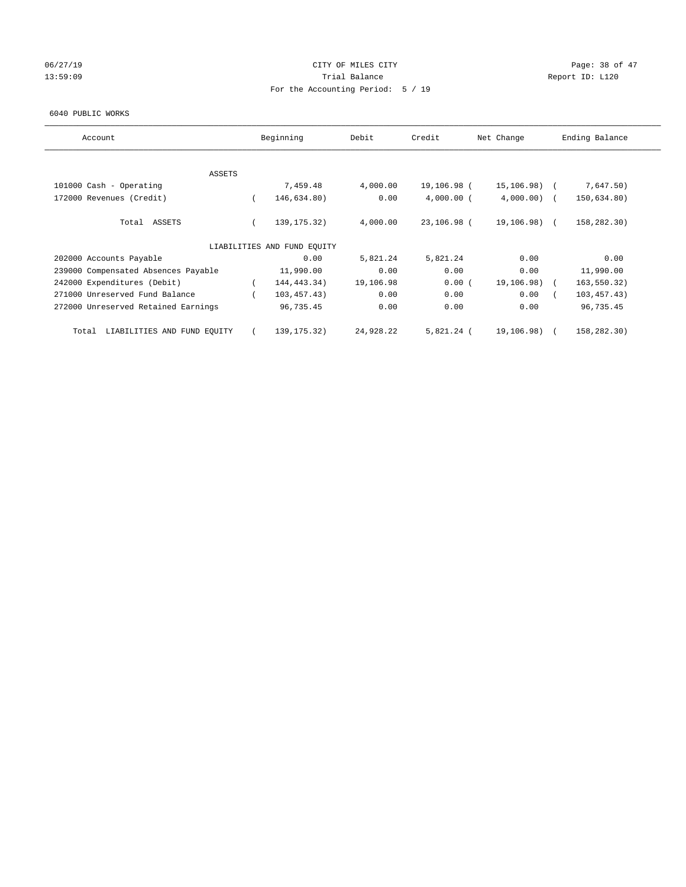## 06/27/19 **Page: 38 of 47** CITY OF MILES CITY **Page: 38 of 47** 13:59:09 Report ID: L120 For the Accounting Period: 5 / 19

#### 6040 PUBLIC WORKS

| Account                              |          | Beginning                   | Debit     | Credit       | Net Change     | Ending Balance |
|--------------------------------------|----------|-----------------------------|-----------|--------------|----------------|----------------|
| ASSETS                               |          |                             |           |              |                |                |
| 101000 Cash - Operating              |          | 7,459.48                    | 4,000.00  | 19,106.98 (  | $15, 106.98$ ( | 7,647.50)      |
| 172000 Revenues (Credit)             | $\left($ | 146,634.80)                 | 0.00      | $4,000.00$ ( | $4,000.00)$ (  | 150,634.80)    |
| Total ASSETS                         |          | 139, 175. 32)               | 4,000.00  | 23,106.98 (  | 19,106.98) (   | 158,282.30)    |
|                                      |          | LIABILITIES AND FUND EQUITY |           |              |                |                |
| 202000 Accounts Payable              |          | 0.00                        | 5,821.24  | 5,821.24     | 0.00           | 0.00           |
| 239000 Compensated Absences Payable  |          | 11,990.00                   | 0.00      | 0.00         | 0.00           | 11,990.00      |
| 242000 Expenditures (Debit)          |          | 144, 443. 34)               | 19,106.98 | 0.00(        | 19,106.98)     | 163,550.32)    |
| 271000 Unreserved Fund Balance       |          | 103,457.43)                 | 0.00      | 0.00         | 0.00           | 103, 457.43)   |
| 272000 Unreserved Retained Earnings  |          | 96,735.45                   | 0.00      | 0.00         | 0.00           | 96,735.45      |
| LIABILITIES AND FUND EQUITY<br>Total |          | 139, 175. 32)               | 24,928.22 | 5,821.24 (   | 19,106.98)     | 158,282.30)    |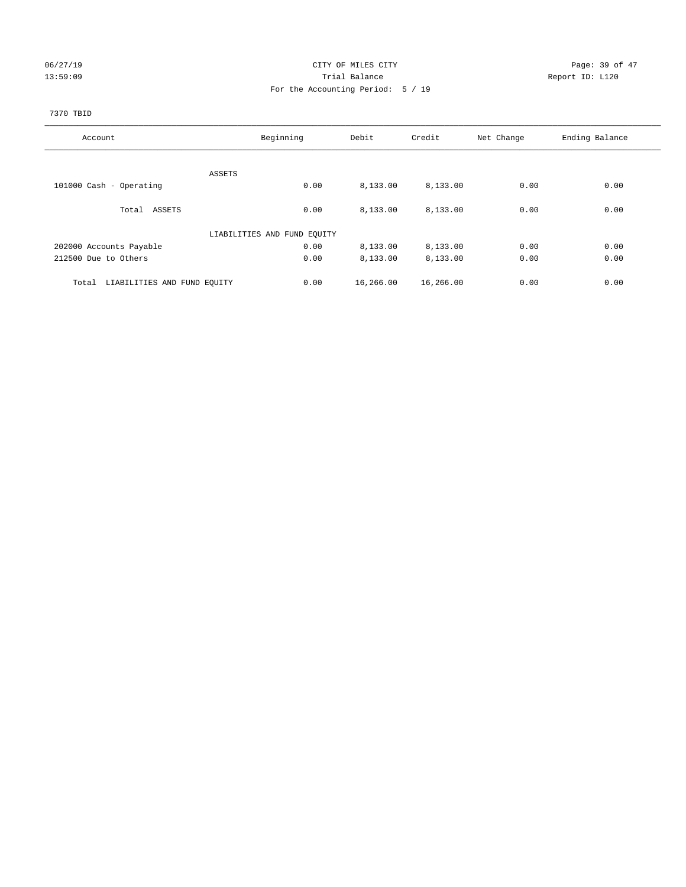## 06/27/19 Page: 39 of 47 13:59:09 Report ID: L120 For the Accounting Period: 5 / 19

## 7370 TBID

| Account                              | Beginning                   | Debit             | Credit    | Net Change | Ending Balance |
|--------------------------------------|-----------------------------|-------------------|-----------|------------|----------------|
|                                      |                             |                   |           |            |                |
|                                      | ASSETS                      |                   |           |            |                |
| 101000 Cash - Operating              |                             | 0.00<br>8,133.00  | 8,133.00  | 0.00       | 0.00           |
| Total ASSETS                         |                             | 0.00<br>8,133.00  | 8,133.00  | 0.00       | 0.00           |
|                                      | LIABILITIES AND FUND EQUITY |                   |           |            |                |
| 202000 Accounts Payable              |                             | 0.00<br>8,133.00  | 8,133.00  | 0.00       | 0.00           |
| 212500 Due to Others                 |                             | 0.00<br>8,133.00  | 8,133.00  | 0.00       | 0.00           |
| LIABILITIES AND FUND EQUITY<br>Total |                             | 0.00<br>16,266.00 | 16,266.00 | 0.00       | 0.00           |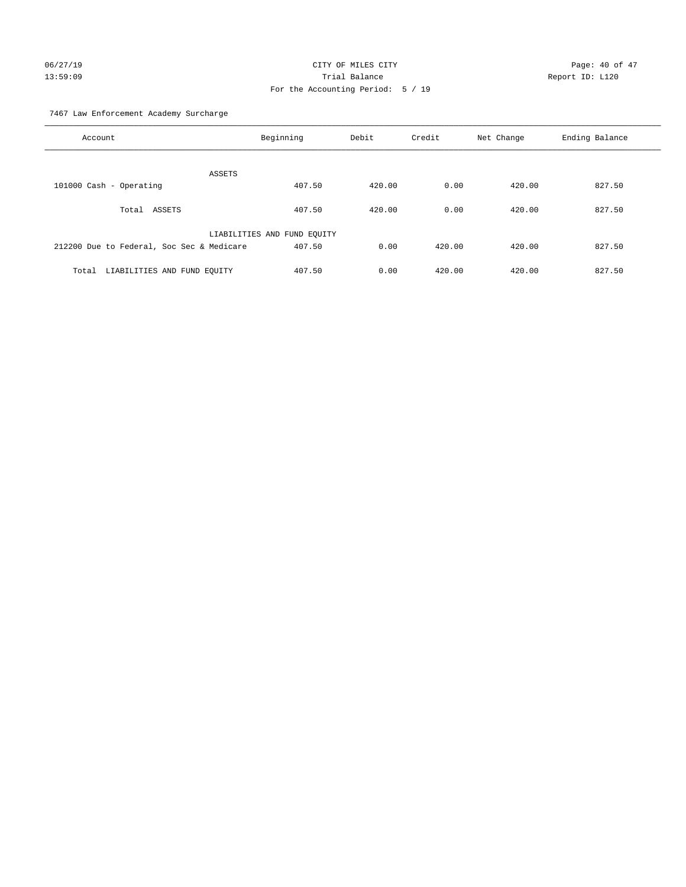# 06/27/19 Page: 40 of 47 13:59:09 Trial Balance Report ID: L120 For the Accounting Period: 5 / 19

7467 Law Enforcement Academy Surcharge

| Account                                   | Beginning                   | Debit  | Credit | Net Change | Ending Balance |
|-------------------------------------------|-----------------------------|--------|--------|------------|----------------|
| <b>ASSETS</b>                             |                             |        |        |            |                |
| 101000 Cash - Operating                   | 407.50                      | 420.00 | 0.00   | 420.00     | 827.50         |
| Total ASSETS                              | 407.50                      | 420.00 | 0.00   | 420.00     | 827.50         |
|                                           | LIABILITIES AND FUND EQUITY |        |        |            |                |
| 212200 Due to Federal, Soc Sec & Medicare | 407.50                      | 0.00   | 420.00 | 420.00     | 827.50         |
| LIABILITIES AND FUND EQUITY<br>Total      | 407.50                      | 0.00   | 420.00 | 420.00     | 827.50         |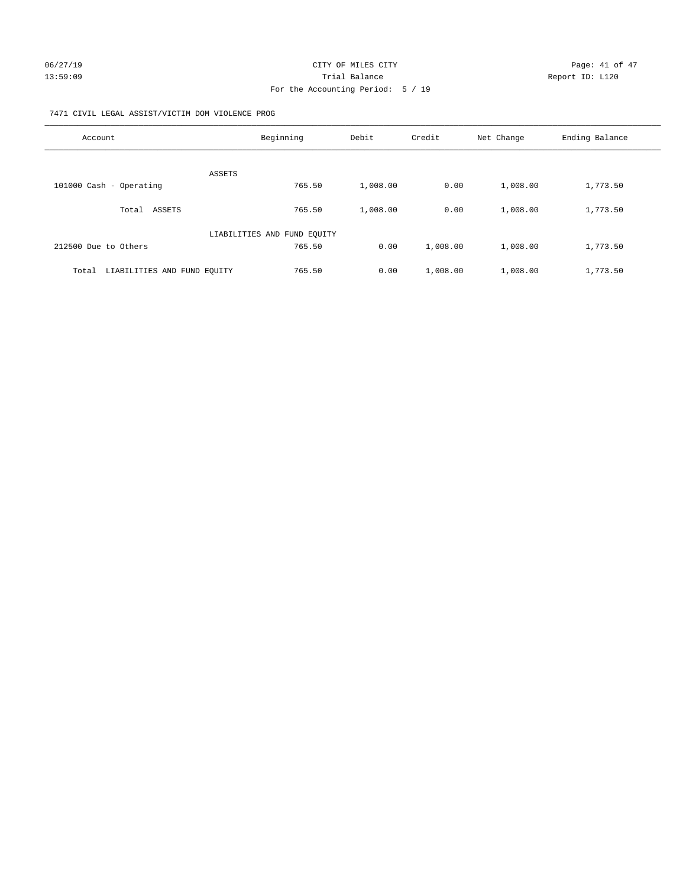## 7471 CIVIL LEGAL ASSIST/VICTIM DOM VIOLENCE PROG

| Account                              | Beginning                   | Debit    | Credit   | Net Change | Ending Balance |
|--------------------------------------|-----------------------------|----------|----------|------------|----------------|
| <b>ASSETS</b>                        |                             |          |          |            |                |
| 101000 Cash - Operating              | 765.50                      | 1,008.00 | 0.00     | 1,008.00   | 1,773.50       |
| ASSETS<br>Total                      | 765.50                      | 1,008.00 | 0.00     | 1,008.00   | 1,773.50       |
|                                      | LIABILITIES AND FUND EQUITY |          |          |            |                |
| 212500 Due to Others                 | 765.50                      | 0.00     | 1,008.00 | 1,008.00   | 1,773.50       |
| LIABILITIES AND FUND EQUITY<br>Total | 765.50                      | 0.00     | 1,008.00 | 1,008.00   | 1,773.50       |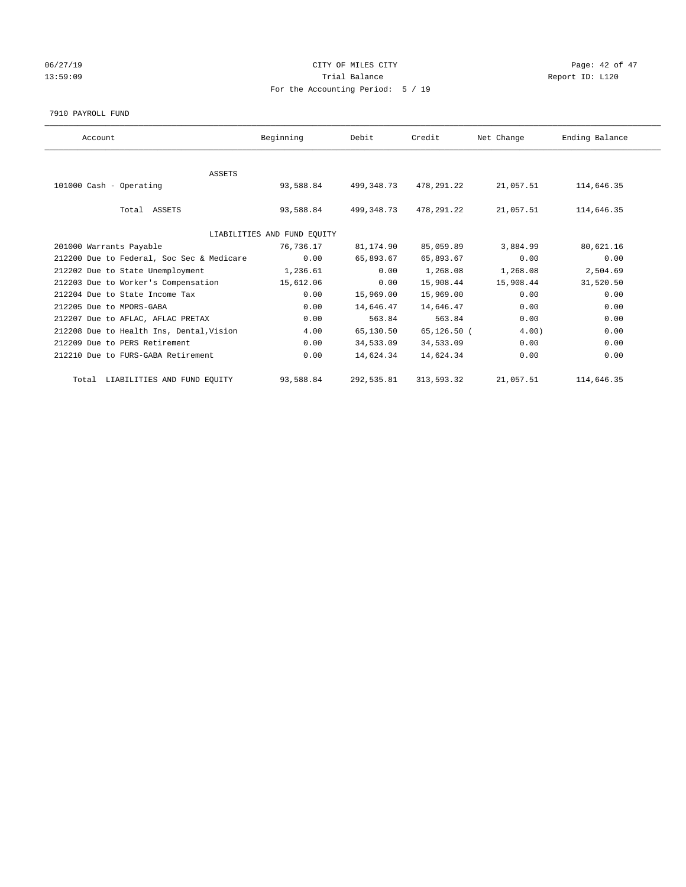## 06/27/19 Page: 42 of 47 13:59:09 Report ID: L120 For the Accounting Period: 5 / 19

#### 7910 PAYROLL FUND

| Account                                   | Beginning                   | Debit      | Credit      | Net Change | Ending Balance |  |
|-------------------------------------------|-----------------------------|------------|-------------|------------|----------------|--|
|                                           |                             |            |             |            |                |  |
| <b>ASSETS</b>                             |                             |            |             |            |                |  |
| 101000 Cash - Operating                   | 93,588.84                   | 499,348.73 | 478,291.22  | 21,057.51  | 114,646.35     |  |
|                                           |                             |            |             |            |                |  |
| Total ASSETS                              | 93,588.84                   | 499,348.73 | 478,291.22  | 21,057.51  | 114,646.35     |  |
|                                           |                             |            |             |            |                |  |
|                                           | LIABILITIES AND FUND EQUITY |            |             |            |                |  |
| 201000 Warrants Payable                   | 76,736.17                   | 81,174.90  | 85,059.89   | 3,884.99   | 80,621.16      |  |
| 212200 Due to Federal, Soc Sec & Medicare | 0.00                        | 65,893.67  | 65,893.67   | 0.00       | 0.00           |  |
| 212202 Due to State Unemployment          | 1,236.61                    | 0.00       | 1,268.08    | 1,268.08   | 2,504.69       |  |
| 212203 Due to Worker's Compensation       | 15,612.06                   | 0.00       | 15,908.44   | 15,908.44  | 31,520.50      |  |
| 212204 Due to State Income Tax            | 0.00                        | 15,969.00  | 15,969.00   | 0.00       | 0.00           |  |
| 212205 Due to MPORS-GABA                  | 0.00                        | 14,646.47  | 14,646.47   | 0.00       | 0.00           |  |
| 212207 Due to AFLAC, AFLAC PRETAX         | 0.00                        | 563.84     | 563.84      | 0.00       | 0.00           |  |
| 212208 Due to Health Ins, Dental, Vision  | 4.00                        | 65,130.50  | 65,126.50 ( | 4.00       | 0.00           |  |
| 212209 Due to PERS Retirement             | 0.00                        | 34,533.09  | 34,533.09   | 0.00       | 0.00           |  |
| 212210 Due to FURS-GABA Retirement        | 0.00                        | 14,624.34  | 14,624.34   | 0.00       | 0.00           |  |
|                                           |                             |            |             |            |                |  |
| Total LIABILITIES AND FUND EQUITY         | 93,588.84                   | 292,535.81 | 313,593.32  | 21,057.51  | 114,646.35     |  |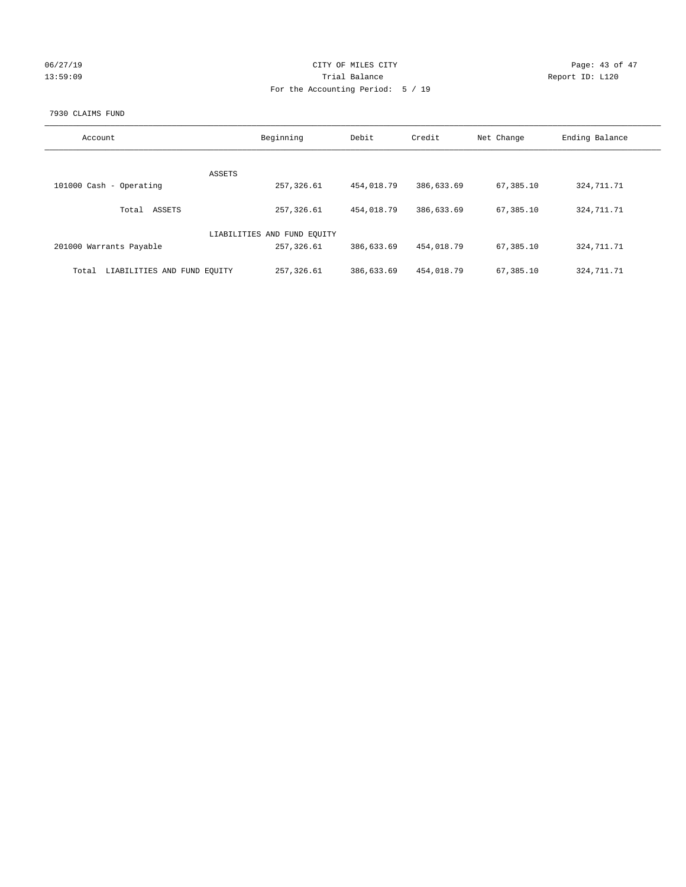|  |  | 06/27/19 |
|--|--|----------|
|  |  | 12.59.09 |

## CITY OF MILES CITY CONTROL CONTROL CONTROL CITY 13:59:09 Report ID: L120 For the Accounting Period: 5 / 19

## 7930 CLAIMS FUND

| Account                              | Beginning                   | Debit      | Credit     | Net Change  | Ending Balance |
|--------------------------------------|-----------------------------|------------|------------|-------------|----------------|
|                                      |                             |            |            |             |                |
|                                      | ASSETS                      |            |            |             |                |
| 101000 Cash - Operating              | 257,326.61                  | 454,018.79 | 386,633.69 | 67,385.10   | 324, 711. 71   |
| ASSETS<br>Total                      | 257,326.61                  | 454,018.79 | 386,633.69 | 67, 385, 10 | 324, 711. 71   |
|                                      | LIABILITIES AND FUND EQUITY |            |            |             |                |
| 201000 Warrants Payable              | 257,326.61                  | 386,633.69 | 454,018.79 | 67,385.10   | 324, 711. 71   |
| LIABILITIES AND FUND EQUITY<br>Total | 257, 326.61                 | 386,633.69 | 454,018.79 | 67,385.10   | 324, 711. 71   |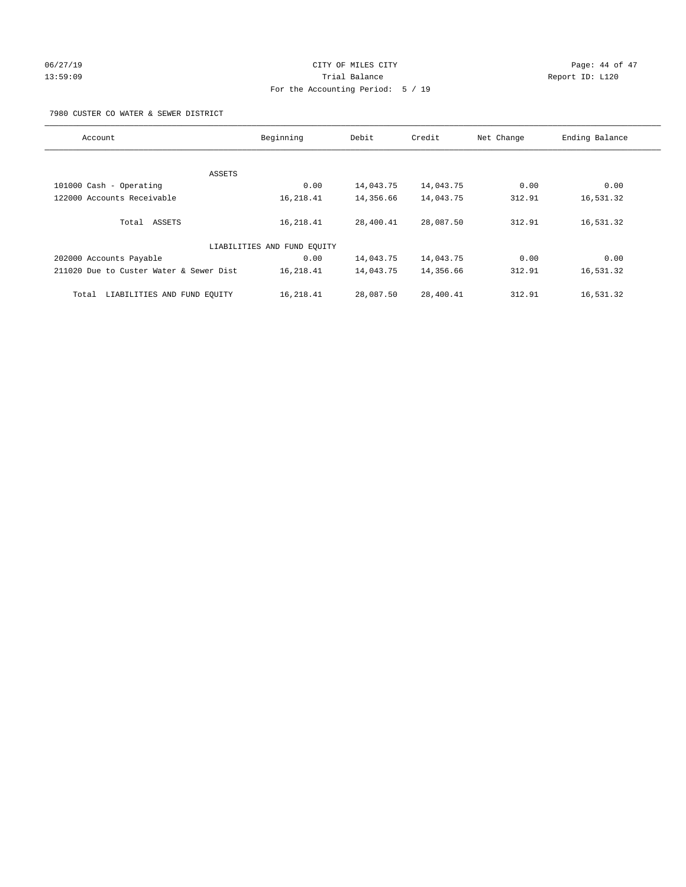# 06/27/19 Page: 44 of 47 13:59:09 Trial Balance Report ID: L120 For the Accounting Period: 5 / 19

7980 CUSTER CO WATER & SEWER DISTRICT

| Account                                 | Beginning                   | Debit     | Credit    | Net Change | Ending Balance |
|-----------------------------------------|-----------------------------|-----------|-----------|------------|----------------|
|                                         |                             |           |           |            |                |
| ASSETS                                  |                             |           |           |            |                |
| 101000 Cash - Operating                 | 0.00                        | 14,043.75 | 14,043.75 | 0.00       | 0.00           |
| 122000 Accounts Receivable              | 16,218.41                   | 14,356.66 | 14,043.75 | 312.91     | 16,531.32      |
| Total ASSETS                            | 16,218.41                   | 28,400.41 | 28,087.50 | 312.91     | 16,531.32      |
|                                         | LIABILITIES AND FUND EQUITY |           |           |            |                |
| 202000 Accounts Payable                 | 0.00                        | 14,043.75 | 14,043.75 | 0.00       | 0.00           |
| 211020 Due to Custer Water & Sewer Dist | 16,218.41                   | 14,043.75 | 14,356.66 | 312.91     | 16,531.32      |
| LIABILITIES AND FUND EQUITY<br>Total    | 16,218.41                   | 28,087.50 | 28,400.41 | 312.91     | 16,531.32      |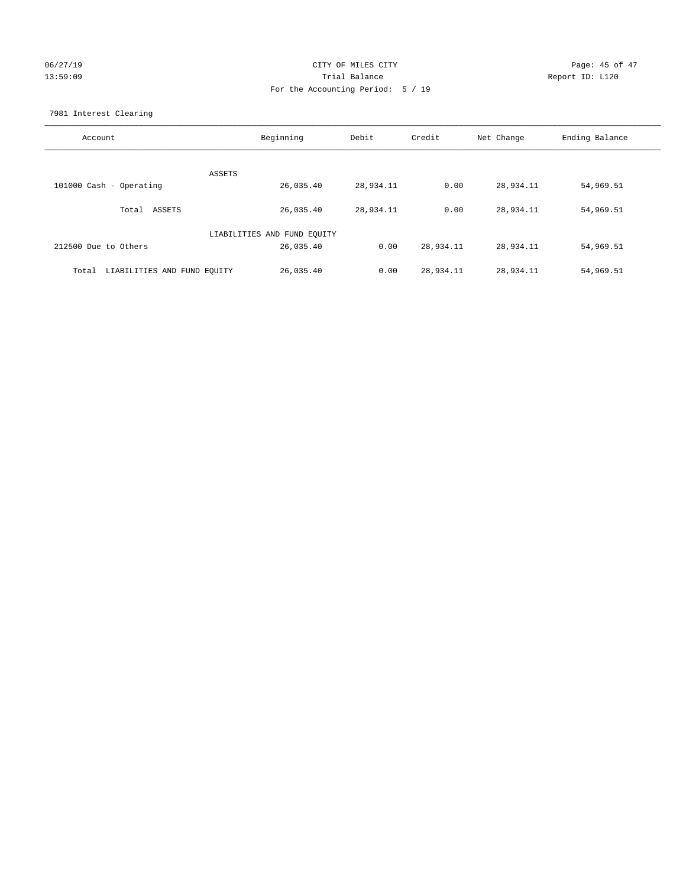## 06/27/19 Page: 45 of 47 13:59:09 Trial Balance Report ID: L120 For the Accounting Period: 5 / 19

7981 Interest Clearing

| Account                              | Beginning                   | Debit     | Credit    | Net Change | Ending Balance |
|--------------------------------------|-----------------------------|-----------|-----------|------------|----------------|
|                                      |                             |           |           |            |                |
| 101000 Cash - Operating              | ASSETS<br>26,035.40         | 28,934.11 | 0.00      | 28,934.11  | 54,969.51      |
| Total ASSETS                         | 26,035.40                   | 28,934.11 | 0.00      | 28,934.11  | 54,969.51      |
|                                      | LIABILITIES AND FUND EQUITY |           |           |            |                |
| 212500 Due to Others                 | 26,035.40                   | 0.00      | 28,934.11 | 28,934.11  | 54,969.51      |
| LIABILITIES AND FUND EQUITY<br>Total | 26,035.40                   | 0.00      | 28,934.11 | 28,934.11  | 54,969.51      |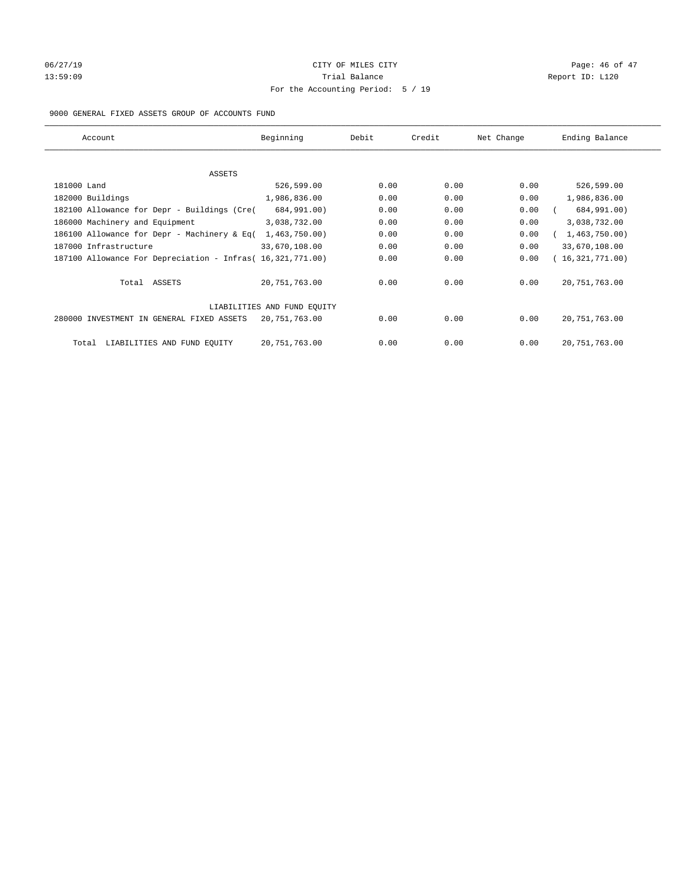# 06/27/19 **Page: 46 of 47** CITY OF MILES CITY **Page: 46 of 47** 13:59:09 Report ID: L120 For the Accounting Period: 5 / 19

## 9000 GENERAL FIXED ASSETS GROUP OF ACCOUNTS FUND

| Account                                                    | Beginning                   | Debit | Credit | Net Change | Ending Balance  |
|------------------------------------------------------------|-----------------------------|-------|--------|------------|-----------------|
| ASSETS                                                     |                             |       |        |            |                 |
| 181000 Land                                                | 526,599.00                  | 0.00  | 0.00   | 0.00       | 526,599.00      |
| 182000 Buildings                                           | 1,986,836.00                | 0.00  | 0.00   | 0.00       | 1,986,836.00    |
| 182100 Allowance for Depr - Buildings (Cre(                | 684,991.00)                 | 0.00  | 0.00   | 0.00       | 684,991.00)     |
| 186000 Machinery and Equipment                             | 3,038,732.00                | 0.00  | 0.00   | 0.00       | 3,038,732.00    |
| 186100 Allowance for Depr - Machinery & Eq(                | 1,463,750.00)               | 0.00  | 0.00   | 0.00       | 1,463,750.00)   |
| 187000 Infrastructure                                      | 33,670,108.00               | 0.00  | 0.00   | 0.00       | 33,670,108.00   |
| 187100 Allowance For Depreciation - Infras( 16,321,771.00) |                             | 0.00  | 0.00   | 0.00       | 16,321,771.00)  |
| Total ASSETS                                               | 20,751,763.00               | 0.00  | 0.00   | 0.00       | 20, 751, 763.00 |
|                                                            | LIABILITIES AND FUND EQUITY |       |        |            |                 |
| 280000 INVESTMENT IN GENERAL FIXED ASSETS                  | 20,751,763.00               | 0.00  | 0.00   | 0.00       | 20, 751, 763.00 |
| LIABILITIES AND FUND EQUITY<br>Total                       | 20, 751, 763.00             | 0.00  | 0.00   | 0.00       | 20, 751, 763.00 |